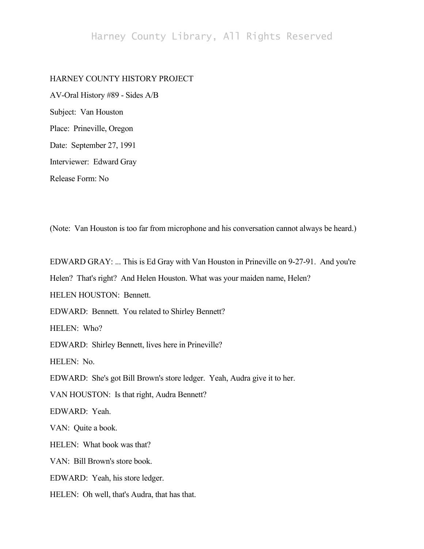# Harney County Library, All Rights Reserved

# HARNEY COUNTY HISTORY PROJECT

AV-Oral History #89 - Sides A/B Subject: Van Houston Place: Prineville, Oregon Date: September 27, 1991 Interviewer: Edward Gray Release Form: No

(Note: Van Houston is too far from microphone and his conversation cannot always be heard.)

EDWARD GRAY: ... This is Ed Gray with Van Houston in Prineville on 9-27-91. And you're

Helen? That's right? And Helen Houston. What was your maiden name, Helen?

HELEN HOUSTON: Bennett.

EDWARD: Bennett. You related to Shirley Bennett?

HELEN: Who?

EDWARD: Shirley Bennett, lives here in Prineville?

HELEN: No.

EDWARD: She's got Bill Brown's store ledger. Yeah, Audra give it to her.

VAN HOUSTON: Is that right, Audra Bennett?

EDWARD: Yeah.

VAN: Quite a book.

HELEN: What book was that?

VAN: Bill Brown's store book.

EDWARD: Yeah, his store ledger.

HELEN: Oh well, that's Audra, that has that.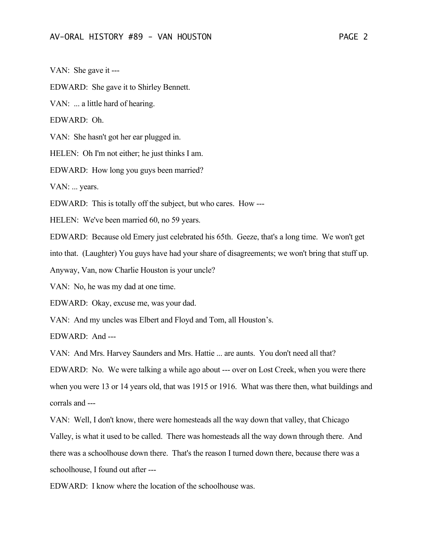VAN: She gave it ---

EDWARD: She gave it to Shirley Bennett.

VAN: ... a little hard of hearing.

EDWARD: Oh.

VAN: She hasn't got her ear plugged in.

HELEN: Oh I'm not either; he just thinks I am.

EDWARD: How long you guys been married?

VAN: ... years.

EDWARD: This is totally off the subject, but who cares. How ---

HELEN: We've been married 60, no 59 years.

EDWARD: Because old Emery just celebrated his 65th. Geeze, that's a long time. We won't get

into that. (Laughter) You guys have had your share of disagreements; we won't bring that stuff up.

Anyway, Van, now Charlie Houston is your uncle?

VAN: No, he was my dad at one time.

EDWARD: Okay, excuse me, was your dad.

VAN: And my uncles was Elbert and Floyd and Tom, all Houston's.

EDWARD: And ---

VAN: And Mrs. Harvey Saunders and Mrs. Hattie ... are aunts. You don't need all that?

EDWARD: No. We were talking a while ago about --- over on Lost Creek, when you were there when you were 13 or 14 years old, that was 1915 or 1916. What was there then, what buildings and corrals and ---

VAN: Well, I don't know, there were homesteads all the way down that valley, that Chicago Valley, is what it used to be called. There was homesteads all the way down through there. And there was a schoolhouse down there. That's the reason I turned down there, because there was a schoolhouse, I found out after ---

EDWARD: I know where the location of the schoolhouse was.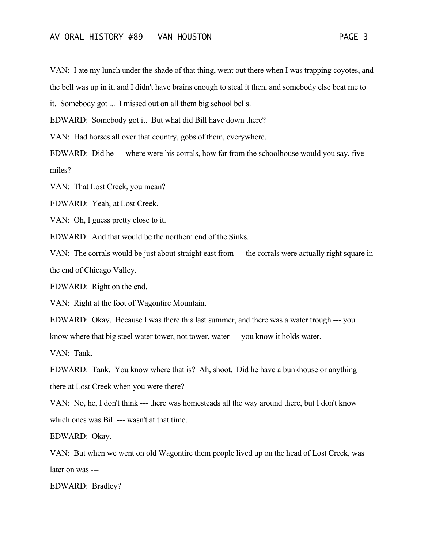VAN: I ate my lunch under the shade of that thing, went out there when I was trapping coyotes, and the bell was up in it, and I didn't have brains enough to steal it then, and somebody else beat me to

it. Somebody got ... I missed out on all them big school bells.

EDWARD: Somebody got it. But what did Bill have down there?

VAN: Had horses all over that country, gobs of them, everywhere.

EDWARD: Did he --- where were his corrals, how far from the schoolhouse would you say, five miles?

VAN: That Lost Creek, you mean?

EDWARD: Yeah, at Lost Creek.

VAN: Oh, I guess pretty close to it.

EDWARD: And that would be the northern end of the Sinks.

VAN: The corrals would be just about straight east from --- the corrals were actually right square in the end of Chicago Valley.

EDWARD: Right on the end.

VAN: Right at the foot of Wagontire Mountain.

EDWARD: Okay. Because I was there this last summer, and there was a water trough --- you

know where that big steel water tower, not tower, water --- you know it holds water.

VAN: Tank.

EDWARD: Tank. You know where that is? Ah, shoot. Did he have a bunkhouse or anything there at Lost Creek when you were there?

VAN: No, he, I don't think --- there was homesteads all the way around there, but I don't know which ones was Bill --- wasn't at that time.

EDWARD: Okay.

VAN: But when we went on old Wagontire them people lived up on the head of Lost Creek, was later on was ---

EDWARD: Bradley?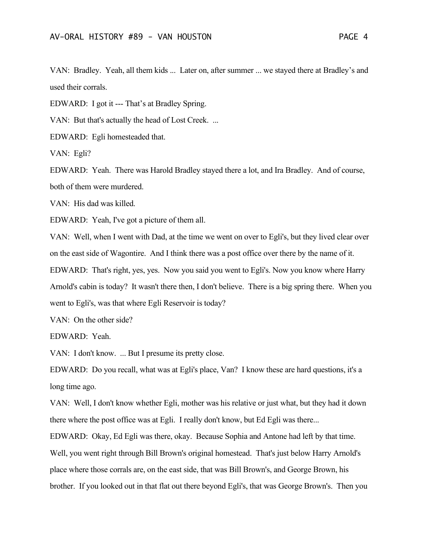VAN: Bradley. Yeah, all them kids ... Later on, after summer ... we stayed there at Bradley's and used their corrals.

EDWARD: I got it --- That's at Bradley Spring.

VAN: But that's actually the head of Lost Creek. ...

EDWARD: Egli homesteaded that.

VAN: Egli?

EDWARD: Yeah. There was Harold Bradley stayed there a lot, and Ira Bradley. And of course, both of them were murdered.

VAN: His dad was killed.

EDWARD: Yeah, I've got a picture of them all.

VAN: Well, when I went with Dad, at the time we went on over to Egli's, but they lived clear over on the east side of Wagontire. And I think there was a post office over there by the name of it. EDWARD: That's right, yes, yes. Now you said you went to Egli's. Now you know where Harry Arnold's cabin is today? It wasn't there then, I don't believe. There is a big spring there. When you went to Egli's, was that where Egli Reservoir is today?

VAN: On the other side?

EDWARD: Yeah.

VAN: I don't know. ... But I presume its pretty close.

EDWARD: Do you recall, what was at Egli's place, Van? I know these are hard questions, it's a long time ago.

VAN: Well, I don't know whether Egli, mother was his relative or just what, but they had it down there where the post office was at Egli. I really don't know, but Ed Egli was there...

EDWARD: Okay, Ed Egli was there, okay. Because Sophia and Antone had left by that time. Well, you went right through Bill Brown's original homestead. That's just below Harry Arnold's place where those corrals are, on the east side, that was Bill Brown's, and George Brown, his brother. If you looked out in that flat out there beyond Egli's, that was George Brown's. Then you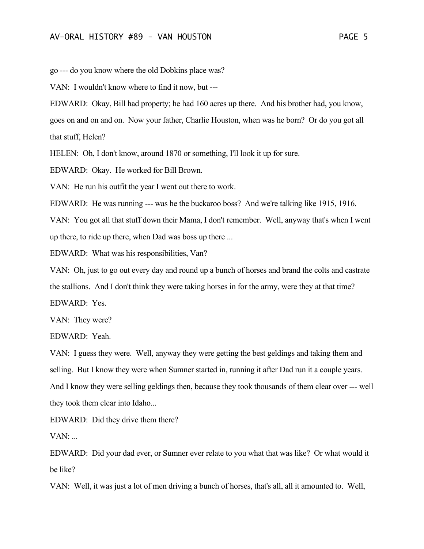go --- do you know where the old Dobkins place was?

VAN: I wouldn't know where to find it now, but ---

EDWARD: Okay, Bill had property; he had 160 acres up there. And his brother had, you know, goes on and on and on. Now your father, Charlie Houston, when was he born? Or do you got all

that stuff, Helen?

HELEN: Oh, I don't know, around 1870 or something, I'll look it up for sure.

EDWARD: Okay. He worked for Bill Brown.

VAN: He run his outfit the year I went out there to work.

EDWARD: He was running --- was he the buckaroo boss? And we're talking like 1915, 1916.

VAN: You got all that stuff down their Mama, I don't remember. Well, anyway that's when I went up there, to ride up there, when Dad was boss up there ...

EDWARD: What was his responsibilities, Van?

VAN: Oh, just to go out every day and round up a bunch of horses and brand the colts and castrate the stallions. And I don't think they were taking horses in for the army, were they at that time? EDWARD: Yes.

VAN: They were?

EDWARD: Yeah.

VAN: I guess they were. Well, anyway they were getting the best geldings and taking them and selling. But I know they were when Sumner started in, running it after Dad run it a couple years. And I know they were selling geldings then, because they took thousands of them clear over --- well they took them clear into Idaho...

EDWARD: Did they drive them there?

 $VAN:$ ...

EDWARD: Did your dad ever, or Sumner ever relate to you what that was like? Or what would it be like?

VAN: Well, it was just a lot of men driving a bunch of horses, that's all, all it amounted to. Well,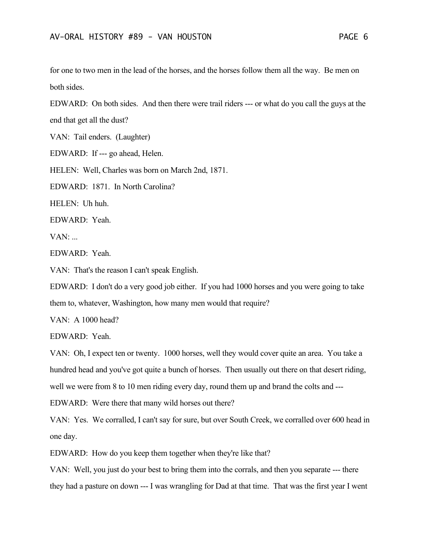for one to two men in the lead of the horses, and the horses follow them all the way. Be men on both sides.

EDWARD: On both sides. And then there were trail riders --- or what do you call the guys at the end that get all the dust?

VAN: Tail enders. (Laughter)

EDWARD: If --- go ahead, Helen.

HELEN: Well, Charles was born on March 2nd, 1871.

EDWARD: 1871. In North Carolina?

HELEN: Uh huh.

EDWARD: Yeah.

 $VAN:$ ...

EDWARD: Yeah.

VAN: That's the reason I can't speak English.

EDWARD: I don't do a very good job either. If you had 1000 horses and you were going to take them to, whatever, Washington, how many men would that require?

VAN: A 1000 head?

EDWARD: Yeah.

VAN: Oh, I expect ten or twenty. 1000 horses, well they would cover quite an area. You take a hundred head and you've got quite a bunch of horses. Then usually out there on that desert riding, well we were from 8 to 10 men riding every day, round them up and brand the colts and ---

EDWARD: Were there that many wild horses out there?

VAN: Yes. We corralled, I can't say for sure, but over South Creek, we corralled over 600 head in one day.

EDWARD: How do you keep them together when they're like that?

VAN: Well, you just do your best to bring them into the corrals, and then you separate --- there they had a pasture on down --- I was wrangling for Dad at that time. That was the first year I went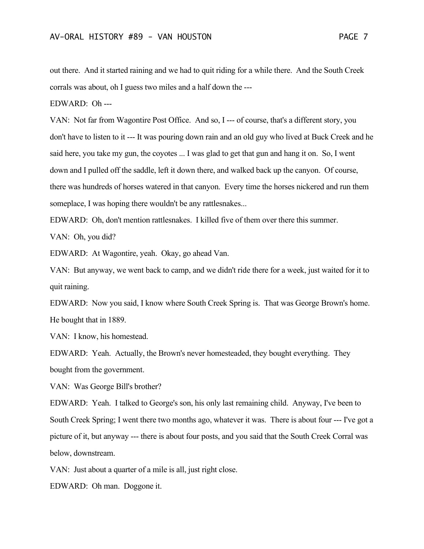out there. And it started raining and we had to quit riding for a while there. And the South Creek corrals was about, oh I guess two miles and a half down the ---

EDWARD: Oh ---

VAN: Not far from Wagontire Post Office. And so, I --- of course, that's a different story, you don't have to listen to it --- It was pouring down rain and an old guy who lived at Buck Creek and he said here, you take my gun, the coyotes ... I was glad to get that gun and hang it on. So, I went down and I pulled off the saddle, left it down there, and walked back up the canyon. Of course, there was hundreds of horses watered in that canyon. Every time the horses nickered and run them someplace, I was hoping there wouldn't be any rattlesnakes...

EDWARD: Oh, don't mention rattlesnakes. I killed five of them over there this summer.

VAN: Oh, you did?

EDWARD: At Wagontire, yeah. Okay, go ahead Van.

VAN: But anyway, we went back to camp, and we didn't ride there for a week, just waited for it to quit raining.

EDWARD: Now you said, I know where South Creek Spring is. That was George Brown's home. He bought that in 1889.

VAN: I know, his homestead.

EDWARD: Yeah. Actually, the Brown's never homesteaded, they bought everything. They bought from the government.

VAN: Was George Bill's brother?

EDWARD: Yeah. I talked to George's son, his only last remaining child. Anyway, I've been to South Creek Spring; I went there two months ago, whatever it was. There is about four --- I've got a picture of it, but anyway --- there is about four posts, and you said that the South Creek Corral was below, downstream.

VAN: Just about a quarter of a mile is all, just right close.

EDWARD: Oh man. Doggone it.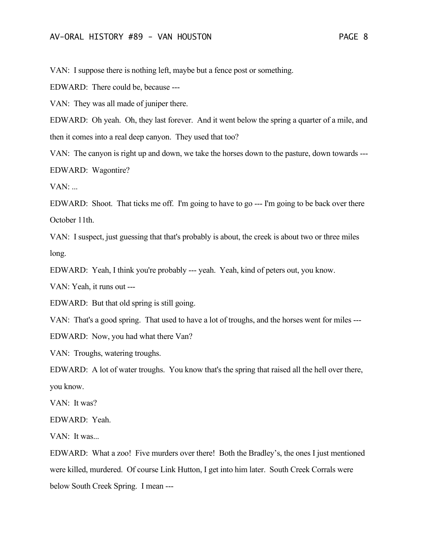VAN: I suppose there is nothing left, maybe but a fence post or something.

EDWARD: There could be, because ---

VAN: They was all made of juniper there.

EDWARD: Oh yeah. Oh, they last forever. And it went below the spring a quarter of a mile, and then it comes into a real deep canyon. They used that too?

VAN: The canyon is right up and down, we take the horses down to the pasture, down towards --- EDWARD: Wagontire?

VAN: ...

EDWARD: Shoot. That ticks me off. I'm going to have to go --- I'm going to be back over there October 11th.

VAN: I suspect, just guessing that that's probably is about, the creek is about two or three miles long.

EDWARD: Yeah, I think you're probably --- yeah. Yeah, kind of peters out, you know.

VAN: Yeah, it runs out ---

EDWARD: But that old spring is still going.

VAN: That's a good spring. That used to have a lot of troughs, and the horses went for miles ---

EDWARD: Now, you had what there Van?

VAN: Troughs, watering troughs.

EDWARD: A lot of water troughs. You know that's the spring that raised all the hell over there, you know.

VAN: It was?

EDWARD: Yeah.

VAN: It was...

EDWARD: What a zoo! Five murders over there! Both the Bradley's, the ones I just mentioned were killed, murdered. Of course Link Hutton, I get into him later. South Creek Corrals were below South Creek Spring. I mean ---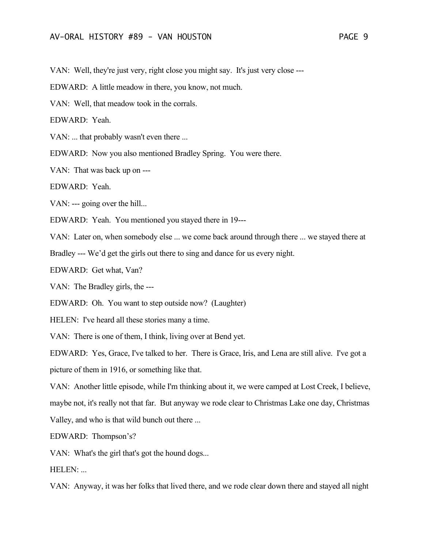VAN: Well, they're just very, right close you might say. It's just very close ---

EDWARD: A little meadow in there, you know, not much.

VAN: Well, that meadow took in the corrals.

EDWARD: Yeah.

VAN: ... that probably wasn't even there ...

EDWARD: Now you also mentioned Bradley Spring. You were there.

VAN: That was back up on ---

EDWARD: Yeah.

VAN: --- going over the hill...

EDWARD: Yeah. You mentioned you stayed there in 19---

VAN: Later on, when somebody else ... we come back around through there ... we stayed there at

Bradley --- We'd get the girls out there to sing and dance for us every night.

EDWARD: Get what, Van?

VAN: The Bradley girls, the ---

EDWARD: Oh. You want to step outside now? (Laughter)

HELEN: I've heard all these stories many a time.

VAN: There is one of them, I think, living over at Bend yet.

EDWARD: Yes, Grace, I've talked to her. There is Grace, Iris, and Lena are still alive. I've got a picture of them in 1916, or something like that.

VAN: Another little episode, while I'm thinking about it, we were camped at Lost Creek, I believe, maybe not, it's really not that far. But anyway we rode clear to Christmas Lake one day, Christmas Valley, and who is that wild bunch out there ...

EDWARD: Thompson's?

VAN: What's the girl that's got the hound dogs...

HELEN: ...

VAN: Anyway, it was her folks that lived there, and we rode clear down there and stayed all night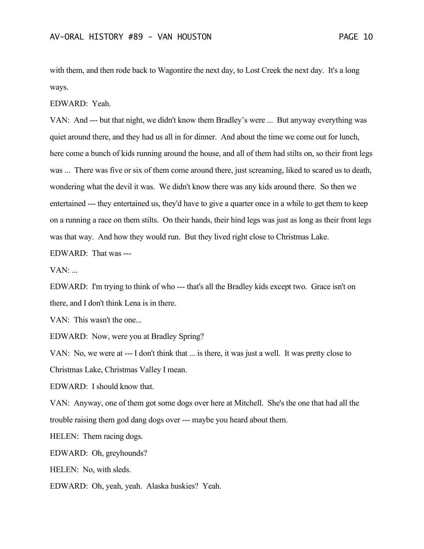with them, and then rode back to Wagontire the next day, to Lost Creek the next day. It's a long ways.

EDWARD: Yeah.

VAN: And --- but that night, we didn't know them Bradley's were ... But anyway everything was quiet around there, and they had us all in for dinner. And about the time we come out for lunch, here come a bunch of kids running around the house, and all of them had stilts on, so their front legs was ... There was five or six of them come around there, just screaming, liked to scared us to death, wondering what the devil it was. We didn't know there was any kids around there. So then we entertained --- they entertained us, they'd have to give a quarter once in a while to get them to keep on a running a race on them stilts. On their hands, their hind legs was just as long as their front legs was that way. And how they would run. But they lived right close to Christmas Lake.

EDWARD: That was ---

 $VAN:$ ...

EDWARD: I'm trying to think of who --- that's all the Bradley kids except two. Grace isn't on there, and I don't think Lena is in there.

VAN: This wasn't the one...

EDWARD: Now, were you at Bradley Spring?

VAN: No, we were at --- I don't think that ... is there, it was just a well. It was pretty close to Christmas Lake, Christmas Valley I mean.

EDWARD: I should know that.

VAN: Anyway, one of them got some dogs over here at Mitchell. She's the one that had all the trouble raising them god dang dogs over --- maybe you heard about them.

HELEN: Them racing dogs.

EDWARD: Oh, greyhounds?

HELEN: No, with sleds.

EDWARD: Oh, yeah, yeah. Alaska huskies? Yeah.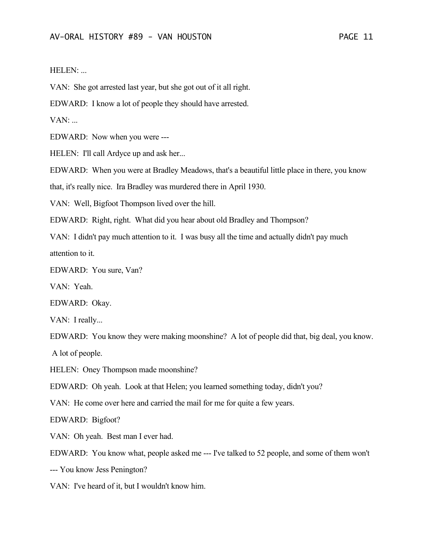## HELEN: ...

VAN: She got arrested last year, but she got out of it all right.

EDWARD: I know a lot of people they should have arrested.

 $VAN:$ ...

EDWARD: Now when you were ---

HELEN: I'll call Ardyce up and ask her...

EDWARD: When you were at Bradley Meadows, that's a beautiful little place in there, you know

that, it's really nice. Ira Bradley was murdered there in April 1930.

VAN: Well, Bigfoot Thompson lived over the hill.

EDWARD: Right, right. What did you hear about old Bradley and Thompson?

VAN: I didn't pay much attention to it. I was busy all the time and actually didn't pay much attention to it.

EDWARD: You sure, Van?

VAN: Yeah.

EDWARD: Okay.

VAN: I really...

EDWARD: You know they were making moonshine? A lot of people did that, big deal, you know.

A lot of people.

HELEN: Oney Thompson made moonshine?

EDWARD: Oh yeah. Look at that Helen; you learned something today, didn't you?

VAN: He come over here and carried the mail for me for quite a few years.

EDWARD: Bigfoot?

VAN: Oh yeah. Best man I ever had.

EDWARD: You know what, people asked me --- I've talked to 52 people, and some of them won't

--- You know Jess Penington?

VAN: I've heard of it, but I wouldn't know him.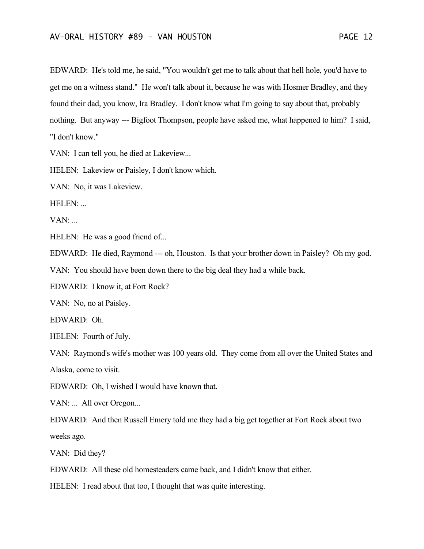EDWARD: He's told me, he said, "You wouldn't get me to talk about that hell hole, you'd have to get me on a witness stand." He won't talk about it, because he was with Hosmer Bradley, and they found their dad, you know, Ira Bradley. I don't know what I'm going to say about that, probably nothing. But anyway --- Bigfoot Thompson, people have asked me, what happened to him? I said, "I don't know."

VAN: I can tell you, he died at Lakeview...

HELEN: Lakeview or Paisley, I don't know which.

VAN: No, it was Lakeview.

HELEN: ...

 $VAN:$ ...

HELEN: He was a good friend of...

EDWARD: He died, Raymond --- oh, Houston. Is that your brother down in Paisley? Oh my god.

VAN: You should have been down there to the big deal they had a while back.

EDWARD: I know it, at Fort Rock?

VAN: No, no at Paisley.

EDWARD: Oh.

HELEN: Fourth of July.

VAN: Raymond's wife's mother was 100 years old. They come from all over the United States and Alaska, come to visit.

EDWARD: Oh, I wished I would have known that.

VAN: ... All over Oregon...

EDWARD: And then Russell Emery told me they had a big get together at Fort Rock about two weeks ago.

VAN: Did they?

EDWARD: All these old homesteaders came back, and I didn't know that either.

HELEN: I read about that too, I thought that was quite interesting.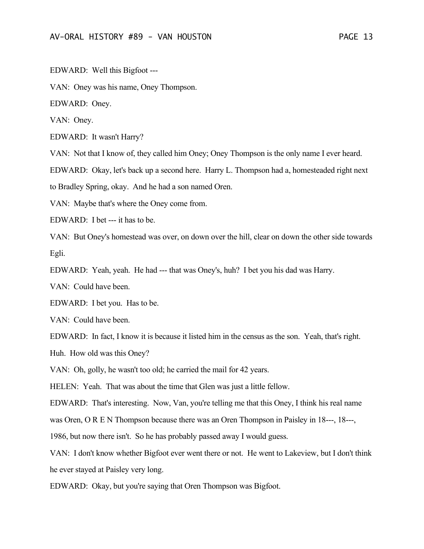EDWARD: Well this Bigfoot ---

VAN: Oney was his name, Oney Thompson.

EDWARD: Oney.

VAN: Oney.

EDWARD: It wasn't Harry?

VAN: Not that I know of, they called him Oney; Oney Thompson is the only name I ever heard.

EDWARD: Okay, let's back up a second here. Harry L. Thompson had a, homesteaded right next

to Bradley Spring, okay. And he had a son named Oren.

VAN: Maybe that's where the Oney come from.

EDWARD: I bet --- it has to be.

VAN: But Oney's homestead was over, on down over the hill, clear on down the other side towards Egli.

EDWARD: Yeah, yeah. He had --- that was Oney's, huh? I bet you his dad was Harry.

VAN: Could have been.

EDWARD: I bet you. Has to be.

VAN: Could have been.

EDWARD: In fact, I know it is because it listed him in the census as the son. Yeah, that's right.

Huh. How old was this Oney?

VAN: Oh, golly, he wasn't too old; he carried the mail for 42 years.

HELEN: Yeah. That was about the time that Glen was just a little fellow.

EDWARD: That's interesting. Now, Van, you're telling me that this Oney, I think his real name

was Oren, O R E N Thompson because there was an Oren Thompson in Paisley in 18---, 18---,

1986, but now there isn't. So he has probably passed away I would guess.

VAN: I don't know whether Bigfoot ever went there or not. He went to Lakeview, but I don't think he ever stayed at Paisley very long.

EDWARD: Okay, but you're saying that Oren Thompson was Bigfoot.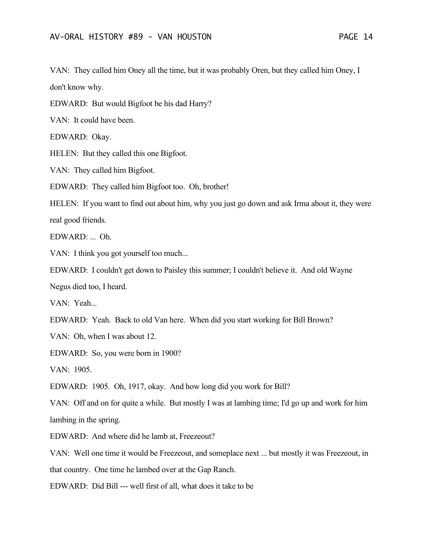VAN: They called him Oney all the time, but it was probably Oren, but they called him Oney, I don't know why.

EDWARD: But would Bigfoot be his dad Harry?

VAN: It could have been.

EDWARD: Okay.

HELEN: But they called this one Bigfoot.

VAN: They called him Bigfoot.

EDWARD: They called him Bigfoot too. Oh, brother!

HELEN: If you want to find out about him, why you just go down and ask Irma about it, they were real good friends.

EDWARD: ... Oh.

VAN: I think you got yourself too much...

EDWARD: I couldn't get down to Paisley this summer; I couldn't believe it. And old Wayne

Negus died too, I heard.

VAN: Yeah...

EDWARD: Yeah. Back to old Van here. When did you start working for Bill Brown?

VAN: Oh, when I was about 12.

EDWARD: So, you were born in 1900?

VAN: 1905.

EDWARD: 1905. Oh, 1917, okay. And how long did you work for Bill?

VAN: Off and on for quite a while. But mostly I was at lambing time; I'd go up and work for him lambing in the spring.

EDWARD: And where did he lamb at, Freezeout?

VAN: Well one time it would be Freezeout, and someplace next ... but mostly it was Freezeout, in that country. One time he lambed over at the Gap Ranch.

EDWARD: Did Bill --- well first of all, what does it take to be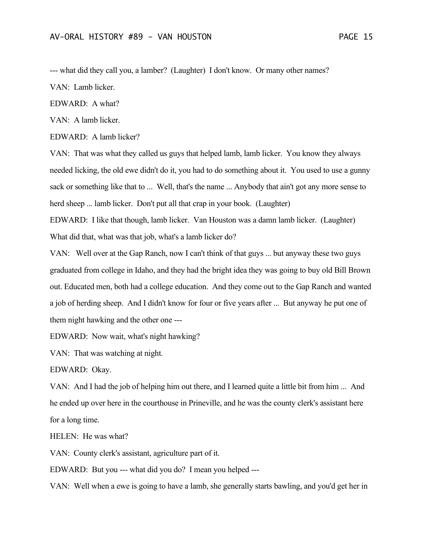--- what did they call you, a lamber? (Laughter) I don't know. Or many other names?

VAN: Lamb licker.

EDWARD: A what?

VAN: A lamb licker.

EDWARD: A lamb licker?

VAN: That was what they called us guys that helped lamb, lamb licker. You know they always needed licking, the old ewe didn't do it, you had to do something about it. You used to use a gunny sack or something like that to ... Well, that's the name ... Anybody that ain't got any more sense to herd sheep ... lamb licker. Don't put all that crap in your book. (Laughter)

EDWARD: I like that though, lamb licker. Van Houston was a damn lamb licker. (Laughter) What did that, what was that job, what's a lamb licker do?

VAN: Well over at the Gap Ranch, now I can't think of that guys ... but anyway these two guys graduated from college in Idaho, and they had the bright idea they was going to buy old Bill Brown out. Educated men, both had a college education. And they come out to the Gap Ranch and wanted a job of herding sheep. And I didn't know for four or five years after ... But anyway he put one of them night hawking and the other one ---

EDWARD: Now wait, what's night hawking?

VAN: That was watching at night.

EDWARD: Okay.

VAN: And I had the job of helping him out there, and I learned quite a little bit from him ... And he ended up over here in the courthouse in Prineville, and he was the county clerk's assistant here for a long time.

HELEN: He was what?

VAN: County clerk's assistant, agriculture part of it.

EDWARD: But you --- what did you do? I mean you helped ---

VAN: Well when a ewe is going to have a lamb, she generally starts bawling, and you'd get her in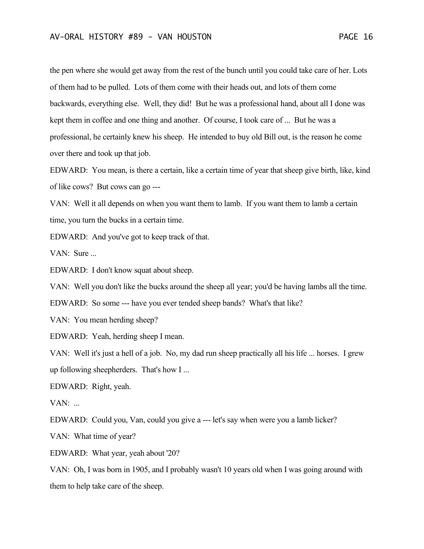the pen where she would get away from the rest of the bunch until you could take care of her. Lots of them had to be pulled. Lots of them come with their heads out, and lots of them come backwards, everything else. Well, they did! But he was a professional hand, about all I done was kept them in coffee and one thing and another. Of course, I took care of ... But he was a professional, he certainly knew his sheep. He intended to buy old Bill out, is the reason he come over there and took up that job.

EDWARD: You mean, is there a certain, like a certain time of year that sheep give birth, like, kind of like cows? But cows can go ---

VAN: Well it all depends on when you want them to lamb. If you want them to lamb a certain time, you turn the bucks in a certain time.

EDWARD: And you've got to keep track of that.

VAN: Sure ...

EDWARD: I don't know squat about sheep.

VAN: Well you don't like the bucks around the sheep all year; you'd be having lambs all the time.

EDWARD: So some --- have you ever tended sheep bands? What's that like?

VAN: You mean herding sheep?

EDWARD: Yeah, herding sheep I mean.

VAN: Well it's just a hell of a job. No, my dad run sheep practically all his life ... horses. I grew up following sheepherders. That's how I ...

EDWARD: Right, yeah.

 $VAN:$ ...

EDWARD: Could you, Van, could you give a --- let's say when were you a lamb licker?

VAN: What time of year?

EDWARD: What year, yeah about '20?

VAN: Oh, I was born in 1905, and I probably wasn't 10 years old when I was going around with them to help take care of the sheep.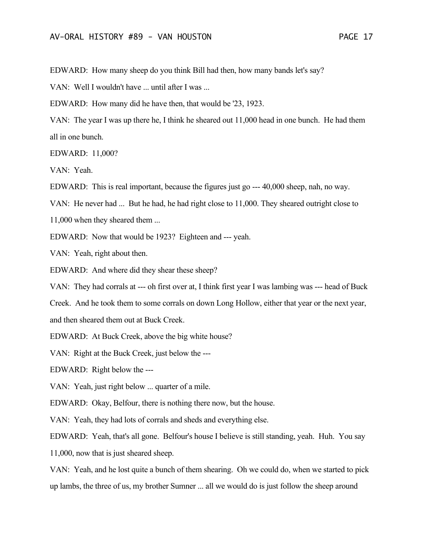EDWARD: How many sheep do you think Bill had then, how many bands let's say?

VAN: Well I wouldn't have ... until after I was ...

EDWARD: How many did he have then, that would be '23, 1923.

VAN: The year I was up there he, I think he sheared out 11,000 head in one bunch. He had them all in one bunch.

EDWARD: 11,000?

VAN: Yeah.

EDWARD: This is real important, because the figures just go --- 40,000 sheep, nah, no way.

VAN: He never had ... But he had, he had right close to 11,000. They sheared outright close to

11,000 when they sheared them ...

EDWARD: Now that would be 1923? Eighteen and --- yeah.

VAN: Yeah, right about then.

EDWARD: And where did they shear these sheep?

VAN: They had corrals at --- oh first over at, I think first year I was lambing was --- head of Buck

Creek. And he took them to some corrals on down Long Hollow, either that year or the next year, and then sheared them out at Buck Creek.

EDWARD: At Buck Creek, above the big white house?

VAN: Right at the Buck Creek, just below the ---

EDWARD: Right below the ---

VAN: Yeah, just right below ... quarter of a mile.

EDWARD: Okay, Belfour, there is nothing there now, but the house.

VAN: Yeah, they had lots of corrals and sheds and everything else.

EDWARD: Yeah, that's all gone. Belfour's house I believe is still standing, yeah. Huh. You say 11,000, now that is just sheared sheep.

VAN: Yeah, and he lost quite a bunch of them shearing. Oh we could do, when we started to pick up lambs, the three of us, my brother Sumner ... all we would do is just follow the sheep around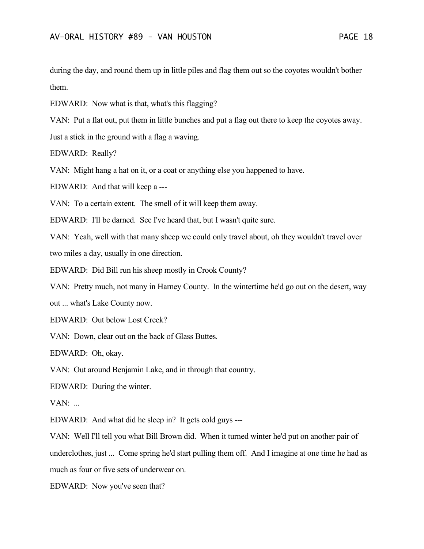during the day, and round them up in little piles and flag them out so the coyotes wouldn't bother them.

EDWARD: Now what is that, what's this flagging?

VAN: Put a flat out, put them in little bunches and put a flag out there to keep the coyotes away. Just a stick in the ground with a flag a waving.

EDWARD: Really?

VAN: Might hang a hat on it, or a coat or anything else you happened to have.

EDWARD: And that will keep a ---

VAN: To a certain extent. The smell of it will keep them away.

EDWARD: I'll be darned. See I've heard that, but I wasn't quite sure.

VAN: Yeah, well with that many sheep we could only travel about, oh they wouldn't travel over two miles a day, usually in one direction.

EDWARD: Did Bill run his sheep mostly in Crook County?

VAN: Pretty much, not many in Harney County. In the wintertime he'd go out on the desert, way

out ... what's Lake County now.

EDWARD: Out below Lost Creek?

VAN: Down, clear out on the back of Glass Buttes.

EDWARD: Oh, okay.

VAN: Out around Benjamin Lake, and in through that country.

EDWARD: During the winter.

 $VAN:$ ...

EDWARD: And what did he sleep in? It gets cold guys ---

VAN: Well I'll tell you what Bill Brown did. When it turned winter he'd put on another pair of underclothes, just ... Come spring he'd start pulling them off. And I imagine at one time he had as much as four or five sets of underwear on.

EDWARD: Now you've seen that?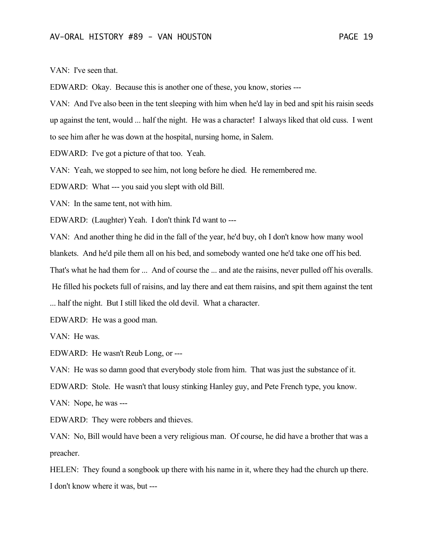VAN: I've seen that.

EDWARD: Okay. Because this is another one of these, you know, stories ---

VAN: And I've also been in the tent sleeping with him when he'd lay in bed and spit his raisin seeds up against the tent, would ... half the night. He was a character! I always liked that old cuss. I went to see him after he was down at the hospital, nursing home, in Salem.

EDWARD: I've got a picture of that too. Yeah.

VAN: Yeah, we stopped to see him, not long before he died. He remembered me.

EDWARD: What --- you said you slept with old Bill.

VAN: In the same tent, not with him.

EDWARD: (Laughter) Yeah. I don't think I'd want to ---

VAN: And another thing he did in the fall of the year, he'd buy, oh I don't know how many wool

blankets. And he'd pile them all on his bed, and somebody wanted one he'd take one off his bed.

That's what he had them for ... And of course the ... and ate the raisins, never pulled off his overalls.

He filled his pockets full of raisins, and lay there and eat them raisins, and spit them against the tent

... half the night. But I still liked the old devil. What a character.

EDWARD: He was a good man.

VAN: He was.

EDWARD: He wasn't Reub Long, or ---

VAN: He was so damn good that everybody stole from him. That was just the substance of it.

EDWARD: Stole. He wasn't that lousy stinking Hanley guy, and Pete French type, you know.

VAN: Nope, he was ---

EDWARD: They were robbers and thieves.

VAN: No, Bill would have been a very religious man. Of course, he did have a brother that was a preacher.

HELEN: They found a songbook up there with his name in it, where they had the church up there. I don't know where it was, but ---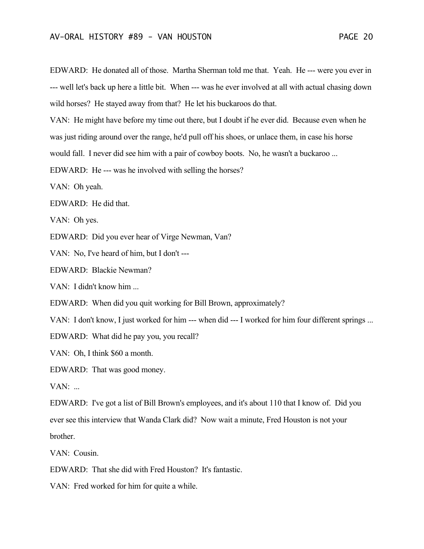EDWARD: He donated all of those. Martha Sherman told me that. Yeah. He --- were you ever in --- well let's back up here a little bit. When --- was he ever involved at all with actual chasing down wild horses? He stayed away from that? He let his buckaroos do that.

VAN: He might have before my time out there, but I doubt if he ever did. Because even when he was just riding around over the range, he'd pull off his shoes, or unlace them, in case his horse

would fall. I never did see him with a pair of cowboy boots. No, he wasn't a buckaroo ...

EDWARD: He --- was he involved with selling the horses?

VAN: Oh yeah.

EDWARD: He did that.

VAN: Oh yes.

EDWARD: Did you ever hear of Virge Newman, Van?

VAN: No, I've heard of him, but I don't ---

EDWARD: Blackie Newman?

VAN: I didn't know him ...

EDWARD: When did you quit working for Bill Brown, approximately?

VAN: I don't know, I just worked for him --- when did --- I worked for him four different springs ...

EDWARD: What did he pay you, you recall?

VAN: Oh, I think \$60 a month.

EDWARD: That was good money.

VAN: ...

EDWARD: I've got a list of Bill Brown's employees, and it's about 110 that I know of. Did you ever see this interview that Wanda Clark did? Now wait a minute, Fred Houston is not your brother.

VAN: Cousin.

EDWARD: That she did with Fred Houston? It's fantastic.

VAN: Fred worked for him for quite a while.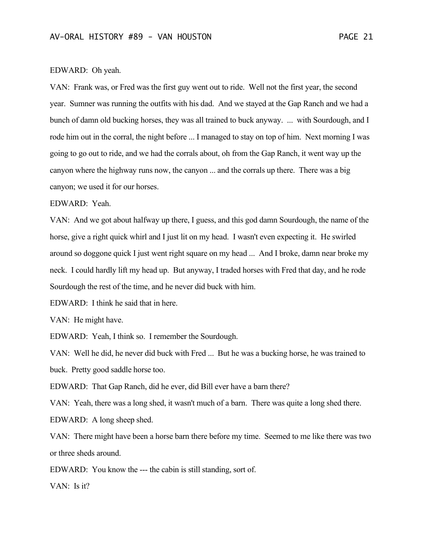### EDWARD: Oh yeah.

VAN: Frank was, or Fred was the first guy went out to ride. Well not the first year, the second year. Sumner was running the outfits with his dad. And we stayed at the Gap Ranch and we had a bunch of damn old bucking horses, they was all trained to buck anyway. ... with Sourdough, and I rode him out in the corral, the night before ... I managed to stay on top of him. Next morning I was going to go out to ride, and we had the corrals about, oh from the Gap Ranch, it went way up the canyon where the highway runs now, the canyon ... and the corrals up there. There was a big canyon; we used it for our horses.

#### EDWARD: Yeah.

VAN: And we got about halfway up there, I guess, and this god damn Sourdough, the name of the horse, give a right quick whirl and I just lit on my head. I wasn't even expecting it. He swirled around so doggone quick I just went right square on my head ... And I broke, damn near broke my neck. I could hardly lift my head up. But anyway, I traded horses with Fred that day, and he rode Sourdough the rest of the time, and he never did buck with him.

EDWARD: I think he said that in here.

VAN: He might have.

EDWARD: Yeah, I think so. I remember the Sourdough.

VAN: Well he did, he never did buck with Fred ... But he was a bucking horse, he was trained to buck. Pretty good saddle horse too.

EDWARD: That Gap Ranch, did he ever, did Bill ever have a barn there?

VAN: Yeah, there was a long shed, it wasn't much of a barn. There was quite a long shed there. EDWARD: A long sheep shed.

VAN: There might have been a horse barn there before my time. Seemed to me like there was two or three sheds around.

EDWARD: You know the --- the cabin is still standing, sort of.

VAN: Is it?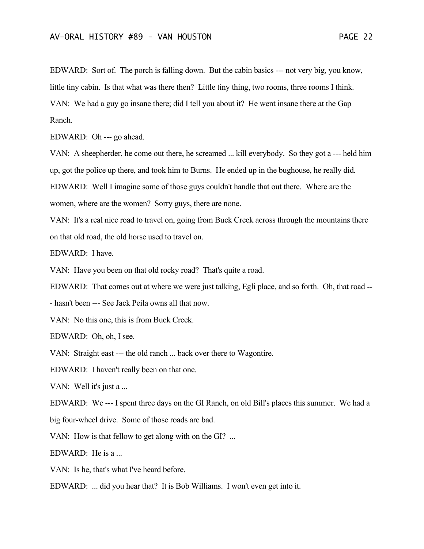EDWARD: Sort of. The porch is falling down. But the cabin basics --- not very big, you know, little tiny cabin. Is that what was there then? Little tiny thing, two rooms, three rooms I think. VAN: We had a guy go insane there; did I tell you about it? He went insane there at the Gap Ranch.

EDWARD: Oh --- go ahead.

VAN: A sheepherder, he come out there, he screamed ... kill everybody. So they got a --- held him up, got the police up there, and took him to Burns. He ended up in the bughouse, he really did. EDWARD: Well I imagine some of those guys couldn't handle that out there. Where are the women, where are the women? Sorry guys, there are none.

VAN: It's a real nice road to travel on, going from Buck Creek across through the mountains there on that old road, the old horse used to travel on.

EDWARD: I have.

VAN: Have you been on that old rocky road? That's quite a road.

EDWARD: That comes out at where we were just talking, Egli place, and so forth. Oh, that road --

- hasn't been --- See Jack Peila owns all that now.

VAN: No this one, this is from Buck Creek.

EDWARD: Oh, oh, I see.

VAN: Straight east --- the old ranch ... back over there to Wagontire.

EDWARD: I haven't really been on that one.

VAN: Well it's just a ...

EDWARD: We --- I spent three days on the GI Ranch, on old Bill's places this summer. We had a big four-wheel drive. Some of those roads are bad.

VAN: How is that fellow to get along with on the GI? ...

EDWARD: He is a ...

VAN: Is he, that's what I've heard before.

EDWARD: ... did you hear that? It is Bob Williams. I won't even get into it.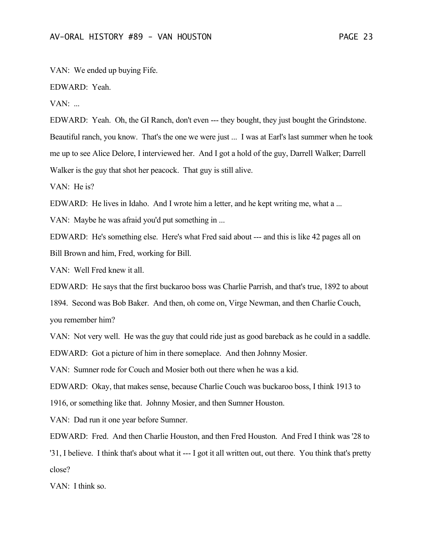VAN: We ended up buying Fife.

EDWARD: Yeah.

 $VAN:$ ...

EDWARD: Yeah. Oh, the GI Ranch, don't even --- they bought, they just bought the Grindstone. Beautiful ranch, you know. That's the one we were just ... I was at Earl's last summer when he took me up to see Alice Delore, I interviewed her. And I got a hold of the guy, Darrell Walker; Darrell Walker is the guy that shot her peacock. That guy is still alive.

VAN: He is?

EDWARD: He lives in Idaho. And I wrote him a letter, and he kept writing me, what a ...

VAN: Maybe he was afraid you'd put something in ...

EDWARD: He's something else. Here's what Fred said about --- and this is like 42 pages all on Bill Brown and him, Fred, working for Bill.

VAN: Well Fred knew it all.

EDWARD: He says that the first buckaroo boss was Charlie Parrish, and that's true, 1892 to about

1894. Second was Bob Baker. And then, oh come on, Virge Newman, and then Charlie Couch, you remember him?

VAN: Not very well. He was the guy that could ride just as good bareback as he could in a saddle. EDWARD: Got a picture of him in there someplace. And then Johnny Mosier.

VAN: Sumner rode for Couch and Mosier both out there when he was a kid.

EDWARD: Okay, that makes sense, because Charlie Couch was buckaroo boss, I think 1913 to 1916, or something like that. Johnny Mosier, and then Sumner Houston.

VAN: Dad run it one year before Sumner.

EDWARD: Fred. And then Charlie Houston, and then Fred Houston. And Fred I think was '28 to '31, I believe. I think that's about what it --- I got it all written out, out there. You think that's pretty close?

VAN: I think so.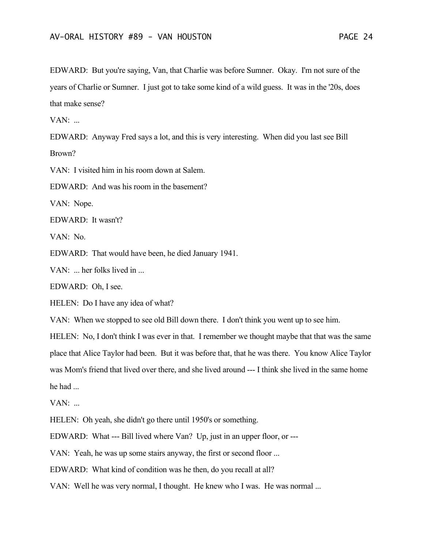EDWARD: But you're saying, Van, that Charlie was before Sumner. Okay. I'm not sure of the years of Charlie or Sumner. I just got to take some kind of a wild guess. It was in the '20s, does that make sense?

 $VAN:$ ...

EDWARD: Anyway Fred says a lot, and this is very interesting. When did you last see Bill Brown?

VAN: I visited him in his room down at Salem.

EDWARD: And was his room in the basement?

VAN: Nope.

EDWARD: It wasn't?

VAN: No.

EDWARD: That would have been, he died January 1941.

VAN: ... her folks lived in ...

EDWARD: Oh, I see.

HELEN: Do I have any idea of what?

VAN: When we stopped to see old Bill down there. I don't think you went up to see him.

HELEN: No, I don't think I was ever in that. I remember we thought maybe that that was the same place that Alice Taylor had been. But it was before that, that he was there. You know Alice Taylor was Mom's friend that lived over there, and she lived around --- I think she lived in the same home he had ...

 $VAN:$ ...

HELEN: Oh yeah, she didn't go there until 1950's or something.

EDWARD: What --- Bill lived where Van? Up, just in an upper floor, or ---

VAN: Yeah, he was up some stairs anyway, the first or second floor ...

EDWARD: What kind of condition was he then, do you recall at all?

VAN: Well he was very normal, I thought. He knew who I was. He was normal ...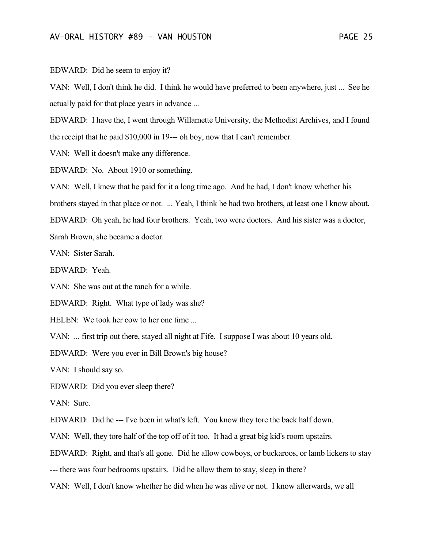EDWARD: Did he seem to enjoy it?

VAN: Well, I don't think he did. I think he would have preferred to been anywhere, just ... See he actually paid for that place years in advance ...

EDWARD: I have the, I went through Willamette University, the Methodist Archives, and I found the receipt that he paid \$10,000 in 19--- oh boy, now that I can't remember.

VAN: Well it doesn't make any difference.

EDWARD: No. About 1910 or something.

VAN: Well, I knew that he paid for it a long time ago. And he had, I don't know whether his brothers stayed in that place or not. ... Yeah, I think he had two brothers, at least one I know about. EDWARD: Oh yeah, he had four brothers. Yeah, two were doctors. And his sister was a doctor, Sarah Brown, she became a doctor.

VAN: Sister Sarah.

EDWARD: Yeah.

VAN: She was out at the ranch for a while.

EDWARD: Right. What type of lady was she?

HELEN: We took her cow to her one time ...

VAN: ... first trip out there, stayed all night at Fife. I suppose I was about 10 years old.

EDWARD: Were you ever in Bill Brown's big house?

VAN: I should say so.

EDWARD: Did you ever sleep there?

VAN: Sure.

EDWARD: Did he --- I've been in what's left. You know they tore the back half down.

VAN: Well, they tore half of the top off of it too. It had a great big kid's room upstairs.

EDWARD: Right, and that's all gone. Did he allow cowboys, or buckaroos, or lamb lickers to stay

--- there was four bedrooms upstairs. Did he allow them to stay, sleep in there?

VAN: Well, I don't know whether he did when he was alive or not. I know afterwards, we all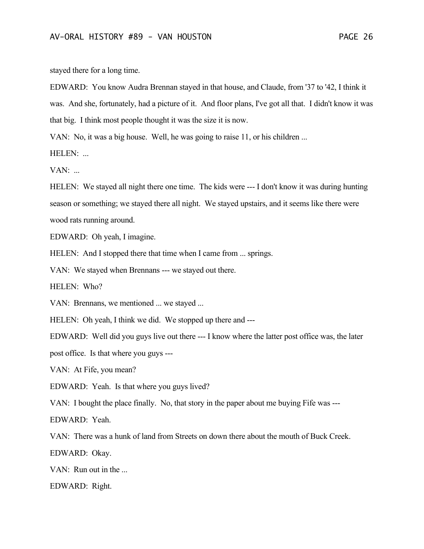stayed there for a long time.

EDWARD: You know Audra Brennan stayed in that house, and Claude, from '37 to '42, I think it was. And she, fortunately, had a picture of it. And floor plans, I've got all that. I didn't know it was that big. I think most people thought it was the size it is now.

VAN: No, it was a big house. Well, he was going to raise 11, or his children ...

HELEN: ...

 $VAN:$ ...

HELEN: We stayed all night there one time. The kids were --- I don't know it was during hunting season or something; we stayed there all night. We stayed upstairs, and it seems like there were wood rats running around.

EDWARD: Oh yeah, I imagine.

HELEN: And I stopped there that time when I came from ... springs.

VAN: We stayed when Brennans --- we stayed out there.

HELEN: Who?

VAN: Brennans, we mentioned ... we stayed ...

HELEN: Oh yeah, I think we did. We stopped up there and ---

EDWARD: Well did you guys live out there --- I know where the latter post office was, the later

post office. Is that where you guys ---

VAN: At Fife, you mean?

EDWARD: Yeah. Is that where you guys lived?

VAN: I bought the place finally. No, that story in the paper about me buying Fife was ---

EDWARD: Yeah.

VAN: There was a hunk of land from Streets on down there about the mouth of Buck Creek.

EDWARD: Okay.

VAN: Run out in the ...

EDWARD: Right.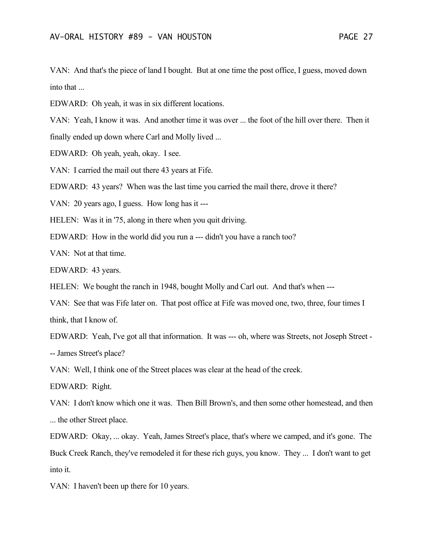VAN: And that's the piece of land I bought. But at one time the post office, I guess, moved down into that ...

EDWARD: Oh yeah, it was in six different locations.

VAN: Yeah, I know it was. And another time it was over ... the foot of the hill over there. Then it finally ended up down where Carl and Molly lived ...

EDWARD: Oh yeah, yeah, okay. I see.

VAN: I carried the mail out there 43 years at Fife.

EDWARD: 43 years? When was the last time you carried the mail there, drove it there?

VAN: 20 years ago, I guess. How long has it ---

HELEN: Was it in '75, along in there when you quit driving.

EDWARD: How in the world did you run a --- didn't you have a ranch too?

VAN: Not at that time.

EDWARD: 43 years.

HELEN: We bought the ranch in 1948, bought Molly and Carl out. And that's when ---

VAN: See that was Fife later on. That post office at Fife was moved one, two, three, four times I think, that I know of.

EDWARD: Yeah, I've got all that information. It was --- oh, where was Streets, not Joseph Street - -- James Street's place?

VAN: Well, I think one of the Street places was clear at the head of the creek.

EDWARD: Right.

VAN: I don't know which one it was. Then Bill Brown's, and then some other homestead, and then ... the other Street place.

EDWARD: Okay, ... okay. Yeah, James Street's place, that's where we camped, and it's gone. The Buck Creek Ranch, they've remodeled it for these rich guys, you know. They ... I don't want to get into it.

VAN: I haven't been up there for 10 years.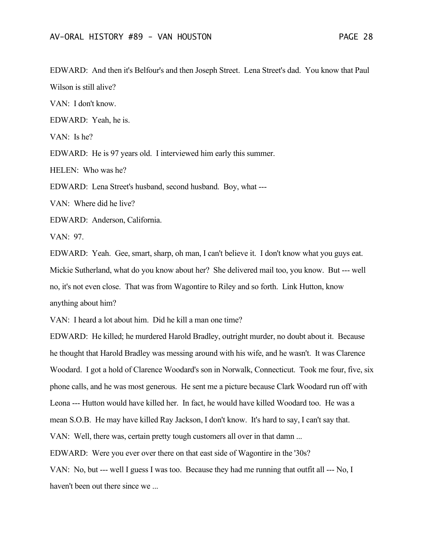EDWARD: And then it's Belfour's and then Joseph Street. Lena Street's dad. You know that Paul Wilson is still alive?

VAN: I don't know.

EDWARD: Yeah, he is.

VAN: Is he?

EDWARD: He is 97 years old. I interviewed him early this summer.

HELEN: Who was he?

EDWARD: Lena Street's husband, second husband. Boy, what ---

VAN: Where did he live?

EDWARD: Anderson, California.

VAN: 97.

EDWARD: Yeah. Gee, smart, sharp, oh man, I can't believe it. I don't know what you guys eat. Mickie Sutherland, what do you know about her? She delivered mail too, you know. But --- well no, it's not even close. That was from Wagontire to Riley and so forth. Link Hutton, know anything about him?

VAN: I heard a lot about him. Did he kill a man one time?

EDWARD: He killed; he murdered Harold Bradley, outright murder, no doubt about it. Because he thought that Harold Bradley was messing around with his wife, and he wasn't. It was Clarence Woodard. I got a hold of Clarence Woodard's son in Norwalk, Connecticut. Took me four, five, six phone calls, and he was most generous. He sent me a picture because Clark Woodard run off with Leona --- Hutton would have killed her. In fact, he would have killed Woodard too. He was a mean S.O.B. He may have killed Ray Jackson, I don't know. It's hard to say, I can't say that. VAN: Well, there was, certain pretty tough customers all over in that damn ... EDWARD: Were you ever over there on that east side of Wagontire in the '30s?

VAN: No, but --- well I guess I was too. Because they had me running that outfit all --- No, I haven't been out there since we ...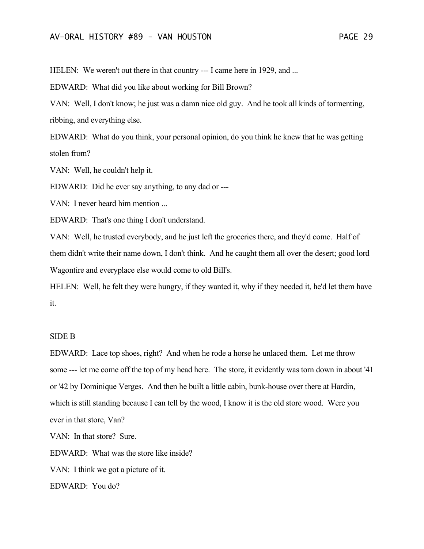HELEN: We weren't out there in that country --- I came here in 1929, and ...

EDWARD: What did you like about working for Bill Brown?

VAN: Well, I don't know; he just was a damn nice old guy. And he took all kinds of tormenting, ribbing, and everything else.

EDWARD: What do you think, your personal opinion, do you think he knew that he was getting stolen from?

VAN: Well, he couldn't help it.

EDWARD: Did he ever say anything, to any dad or ---

VAN: I never heard him mention ...

EDWARD: That's one thing I don't understand.

VAN: Well, he trusted everybody, and he just left the groceries there, and they'd come. Half of them didn't write their name down, I don't think. And he caught them all over the desert; good lord Wagontire and everyplace else would come to old Bill's.

HELEN: Well, he felt they were hungry, if they wanted it, why if they needed it, he'd let them have it.

#### SIDE B

EDWARD: Lace top shoes, right? And when he rode a horse he unlaced them. Let me throw some --- let me come off the top of my head here. The store, it evidently was torn down in about '41 or '42 by Dominique Verges. And then he built a little cabin, bunk-house over there at Hardin, which is still standing because I can tell by the wood, I know it is the old store wood. Were you ever in that store, Van?

VAN: In that store? Sure.

EDWARD: What was the store like inside?

VAN: I think we got a picture of it.

EDWARD: You do?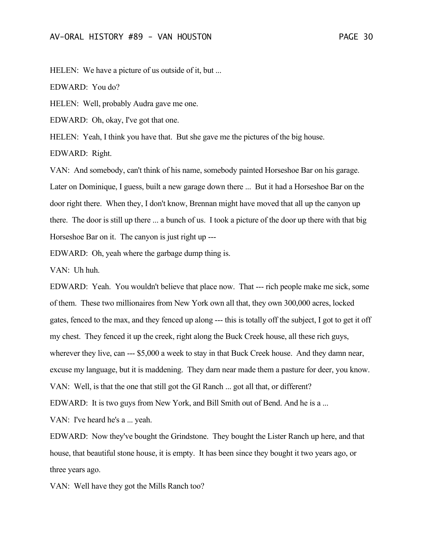HELEN: We have a picture of us outside of it, but ...

EDWARD: You do?

HELEN: Well, probably Audra gave me one.

EDWARD: Oh, okay, I've got that one.

HELEN: Yeah, I think you have that. But she gave me the pictures of the big house.

EDWARD: Right.

VAN: And somebody, can't think of his name, somebody painted Horseshoe Bar on his garage. Later on Dominique, I guess, built a new garage down there ... But it had a Horseshoe Bar on the door right there. When they, I don't know, Brennan might have moved that all up the canyon up there. The door is still up there ... a bunch of us. I took a picture of the door up there with that big Horseshoe Bar on it. The canyon is just right up ---

EDWARD: Oh, yeah where the garbage dump thing is.

VAN: Uh huh.

EDWARD: Yeah. You wouldn't believe that place now. That --- rich people make me sick, some of them. These two millionaires from New York own all that, they own 300,000 acres, locked gates, fenced to the max, and they fenced up along --- this is totally off the subject, I got to get it off my chest. They fenced it up the creek, right along the Buck Creek house, all these rich guys, wherever they live, can --- \$5,000 a week to stay in that Buck Creek house. And they damn near, excuse my language, but it is maddening. They darn near made them a pasture for deer, you know. VAN: Well, is that the one that still got the GI Ranch ... got all that, or different? EDWARD: It is two guys from New York, and Bill Smith out of Bend. And he is a ... VAN: I've heard he's a ... yeah.

EDWARD: Now they've bought the Grindstone. They bought the Lister Ranch up here, and that house, that beautiful stone house, it is empty. It has been since they bought it two years ago, or three years ago.

VAN: Well have they got the Mills Ranch too?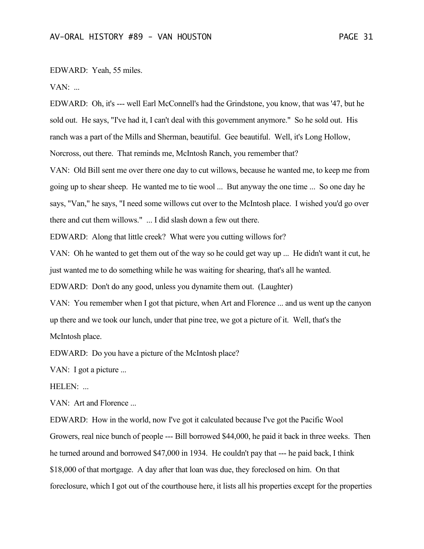#### EDWARD: Yeah, 55 miles.

VAN: ...

EDWARD: Oh, it's --- well Earl McConnell's had the Grindstone, you know, that was '47, but he sold out. He says, "I've had it, I can't deal with this government anymore." So he sold out. His ranch was a part of the Mills and Sherman, beautiful. Gee beautiful. Well, it's Long Hollow, Norcross, out there. That reminds me, McIntosh Ranch, you remember that?

VAN: Old Bill sent me over there one day to cut willows, because he wanted me, to keep me from going up to shear sheep. He wanted me to tie wool ... But anyway the one time ... So one day he says, "Van," he says, "I need some willows cut over to the McIntosh place. I wished you'd go over there and cut them willows." ... I did slash down a few out there.

EDWARD: Along that little creek? What were you cutting willows for?

VAN: Oh he wanted to get them out of the way so he could get way up ... He didn't want it cut, he just wanted me to do something while he was waiting for shearing, that's all he wanted.

EDWARD: Don't do any good, unless you dynamite them out. (Laughter)

VAN: You remember when I got that picture, when Art and Florence ... and us went up the canyon up there and we took our lunch, under that pine tree, we got a picture of it. Well, that's the McIntosh place.

EDWARD: Do you have a picture of the McIntosh place?

VAN: I got a picture ...

HELEN: ...

VAN: Art and Florence ...

EDWARD: How in the world, now I've got it calculated because I've got the Pacific Wool Growers, real nice bunch of people --- Bill borrowed \$44,000, he paid it back in three weeks. Then he turned around and borrowed \$47,000 in 1934. He couldn't pay that --- he paid back, I think \$18,000 of that mortgage. A day after that loan was due, they foreclosed on him. On that foreclosure, which I got out of the courthouse here, it lists all his properties except for the properties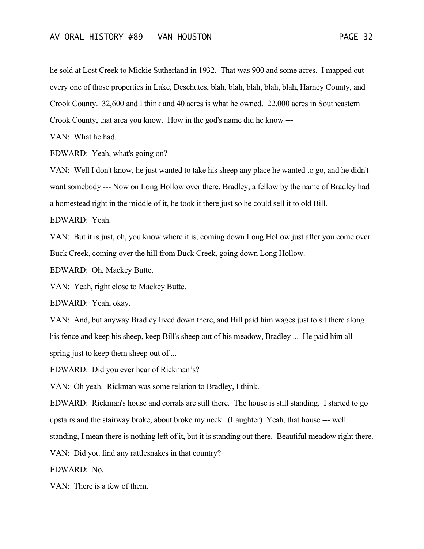he sold at Lost Creek to Mickie Sutherland in 1932. That was 900 and some acres. I mapped out every one of those properties in Lake, Deschutes, blah, blah, blah, blah, blah, Harney County, and Crook County. 32,600 and I think and 40 acres is what he owned. 22,000 acres in Southeastern Crook County, that area you know. How in the god's name did he know ---

VAN: What he had.

EDWARD: Yeah, what's going on?

VAN: Well I don't know, he just wanted to take his sheep any place he wanted to go, and he didn't want somebody --- Now on Long Hollow over there, Bradley, a fellow by the name of Bradley had a homestead right in the middle of it, he took it there just so he could sell it to old Bill.

EDWARD: Yeah.

VAN: But it is just, oh, you know where it is, coming down Long Hollow just after you come over Buck Creek, coming over the hill from Buck Creek, going down Long Hollow.

EDWARD: Oh, Mackey Butte.

VAN: Yeah, right close to Mackey Butte.

EDWARD: Yeah, okay.

VAN: And, but anyway Bradley lived down there, and Bill paid him wages just to sit there along his fence and keep his sheep, keep Bill's sheep out of his meadow, Bradley ... He paid him all spring just to keep them sheep out of ...

EDWARD: Did you ever hear of Rickman's?

VAN: Oh yeah. Rickman was some relation to Bradley, I think.

EDWARD: Rickman's house and corrals are still there. The house is still standing. I started to go upstairs and the stairway broke, about broke my neck. (Laughter) Yeah, that house --- well standing, I mean there is nothing left of it, but it is standing out there. Beautiful meadow right there.

VAN: Did you find any rattlesnakes in that country?

EDWARD: No.

VAN: There is a few of them.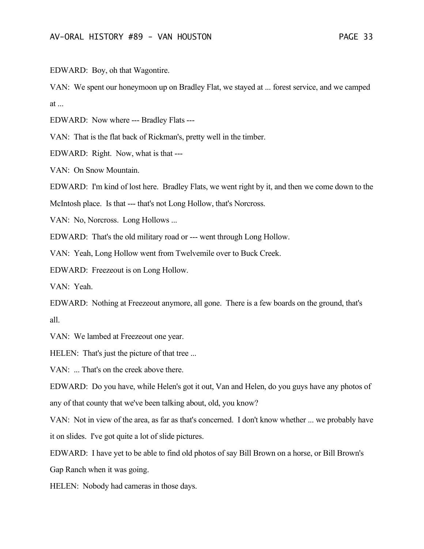EDWARD: Boy, oh that Wagontire.

VAN: We spent our honeymoon up on Bradley Flat, we stayed at ... forest service, and we camped at ...

EDWARD: Now where --- Bradley Flats ---

VAN: That is the flat back of Rickman's, pretty well in the timber.

EDWARD: Right. Now, what is that ---

VAN: On Snow Mountain.

EDWARD: I'm kind of lost here. Bradley Flats, we went right by it, and then we come down to the

McIntosh place. Is that --- that's not Long Hollow, that's Norcross.

VAN: No, Norcross. Long Hollows ...

EDWARD: That's the old military road or --- went through Long Hollow.

VAN: Yeah, Long Hollow went from Twelvemile over to Buck Creek.

EDWARD: Freezeout is on Long Hollow.

VAN: Yeah.

EDWARD: Nothing at Freezeout anymore, all gone. There is a few boards on the ground, that's all.

VAN: We lambed at Freezeout one year.

HELEN: That's just the picture of that tree ...

VAN: ... That's on the creek above there.

EDWARD: Do you have, while Helen's got it out, Van and Helen, do you guys have any photos of any of that county that we've been talking about, old, you know?

VAN: Not in view of the area, as far as that's concerned. I don't know whether ... we probably have it on slides. I've got quite a lot of slide pictures.

EDWARD: I have yet to be able to find old photos of say Bill Brown on a horse, or Bill Brown's Gap Ranch when it was going.

HELEN: Nobody had cameras in those days.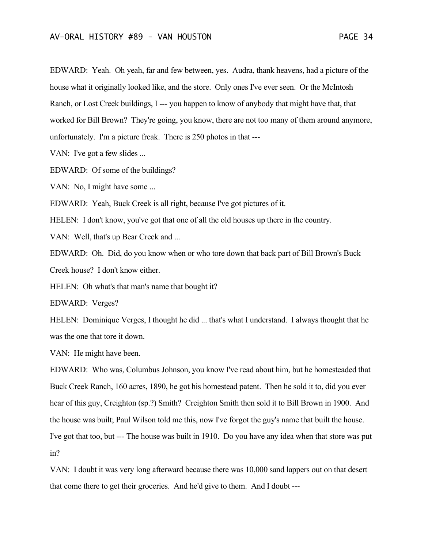EDWARD: Yeah. Oh yeah, far and few between, yes. Audra, thank heavens, had a picture of the house what it originally looked like, and the store. Only ones I've ever seen. Or the McIntosh Ranch, or Lost Creek buildings, I --- you happen to know of anybody that might have that, that worked for Bill Brown? They're going, you know, there are not too many of them around anymore, unfortunately. I'm a picture freak. There is 250 photos in that ---

VAN: I've got a few slides ...

EDWARD: Of some of the buildings?

VAN: No, I might have some ...

EDWARD: Yeah, Buck Creek is all right, because I've got pictures of it.

HELEN: I don't know, you've got that one of all the old houses up there in the country.

VAN: Well, that's up Bear Creek and ...

EDWARD: Oh. Did, do you know when or who tore down that back part of Bill Brown's Buck Creek house? I don't know either.

HELEN: Oh what's that man's name that bought it?

EDWARD: Verges?

HELEN: Dominique Verges, I thought he did ... that's what I understand. I always thought that he was the one that tore it down.

VAN: He might have been.

EDWARD: Who was, Columbus Johnson, you know I've read about him, but he homesteaded that Buck Creek Ranch, 160 acres, 1890, he got his homestead patent. Then he sold it to, did you ever hear of this guy, Creighton (sp.?) Smith? Creighton Smith then sold it to Bill Brown in 1900. And the house was built; Paul Wilson told me this, now I've forgot the guy's name that built the house. I've got that too, but --- The house was built in 1910. Do you have any idea when that store was put in?

VAN: I doubt it was very long afterward because there was 10,000 sand lappers out on that desert that come there to get their groceries. And he'd give to them. And I doubt ---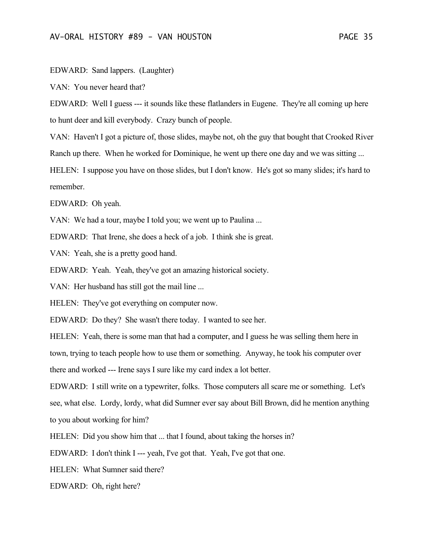EDWARD: Sand lappers. (Laughter)

VAN: You never heard that?

EDWARD: Well I guess --- it sounds like these flatlanders in Eugene. They're all coming up here to hunt deer and kill everybody. Crazy bunch of people.

VAN: Haven't I got a picture of, those slides, maybe not, oh the guy that bought that Crooked River Ranch up there. When he worked for Dominique, he went up there one day and we was sitting ...

HELEN: I suppose you have on those slides, but I don't know. He's got so many slides; it's hard to remember.

EDWARD: Oh yeah.

VAN: We had a tour, maybe I told you; we went up to Paulina ...

EDWARD: That Irene, she does a heck of a job. I think she is great.

VAN: Yeah, she is a pretty good hand.

EDWARD: Yeah. Yeah, they've got an amazing historical society.

VAN: Her husband has still got the mail line ...

HELEN: They've got everything on computer now.

EDWARD: Do they? She wasn't there today. I wanted to see her.

HELEN: Yeah, there is some man that had a computer, and I guess he was selling them here in town, trying to teach people how to use them or something. Anyway, he took his computer over there and worked --- Irene says I sure like my card index a lot better.

EDWARD: I still write on a typewriter, folks. Those computers all scare me or something. Let's see, what else. Lordy, lordy, what did Sumner ever say about Bill Brown, did he mention anything to you about working for him?

HELEN: Did you show him that ... that I found, about taking the horses in?

EDWARD: I don't think I --- yeah, I've got that. Yeah, I've got that one.

HELEN: What Sumner said there?

EDWARD: Oh, right here?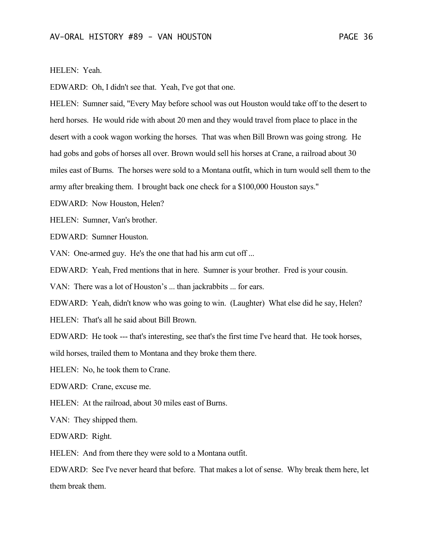#### HELEN: Yeah.

EDWARD: Oh, I didn't see that. Yeah, I've got that one.

HELEN: Sumner said, "Every May before school was out Houston would take off to the desert to herd horses. He would ride with about 20 men and they would travel from place to place in the desert with a cook wagon working the horses. That was when Bill Brown was going strong. He had gobs and gobs of horses all over. Brown would sell his horses at Crane, a railroad about 30 miles east of Burns. The horses were sold to a Montana outfit, which in turn would sell them to the army after breaking them. I brought back one check for a \$100,000 Houston says."

EDWARD: Now Houston, Helen?

HELEN: Sumner, Van's brother.

EDWARD: Sumner Houston.

VAN: One-armed guy. He's the one that had his arm cut off ...

EDWARD: Yeah, Fred mentions that in here. Sumner is your brother. Fred is your cousin.

VAN: There was a lot of Houston's ... than jackrabbits ... for ears.

EDWARD: Yeah, didn't know who was going to win. (Laughter) What else did he say, Helen? HELEN: That's all he said about Bill Brown.

EDWARD: He took --- that's interesting, see that's the first time I've heard that. He took horses, wild horses, trailed them to Montana and they broke them there.

HELEN: No, he took them to Crane.

EDWARD: Crane, excuse me.

HELEN: At the railroad, about 30 miles east of Burns.

VAN: They shipped them.

EDWARD: Right.

HELEN: And from there they were sold to a Montana outfit.

EDWARD: See I've never heard that before. That makes a lot of sense. Why break them here, let them break them.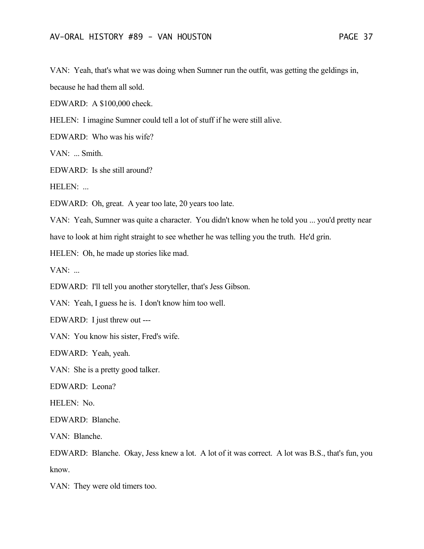VAN: Yeah, that's what we was doing when Sumner run the outfit, was getting the geldings in,

because he had them all sold.

EDWARD: A \$100,000 check.

HELEN: I imagine Sumner could tell a lot of stuff if he were still alive.

EDWARD: Who was his wife?

VAN: ... Smith.

EDWARD: Is she still around?

HELEN: ...

EDWARD: Oh, great. A year too late, 20 years too late.

VAN: Yeah, Sumner was quite a character. You didn't know when he told you ... you'd pretty near have to look at him right straight to see whether he was telling you the truth. He'd grin.

HELEN: Oh, he made up stories like mad.

 $VAN:$ ...

EDWARD: I'll tell you another storyteller, that's Jess Gibson.

VAN: Yeah, I guess he is. I don't know him too well.

EDWARD: I just threw out ---

VAN: You know his sister, Fred's wife.

EDWARD: Yeah, yeah.

VAN: She is a pretty good talker.

EDWARD: Leona?

HELEN: No.

EDWARD: Blanche.

VAN: Blanche.

EDWARD: Blanche. Okay, Jess knew a lot. A lot of it was correct. A lot was B.S., that's fun, you know.

VAN: They were old timers too.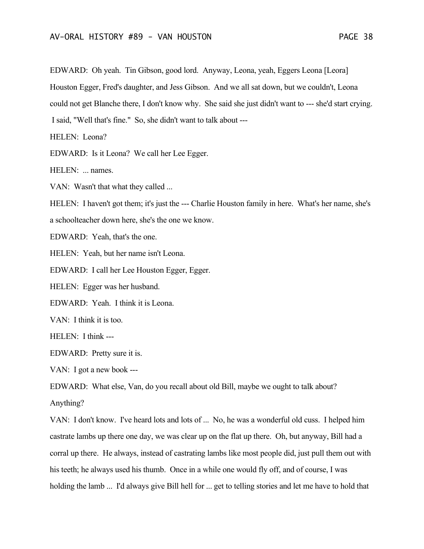EDWARD: Oh yeah. Tin Gibson, good lord. Anyway, Leona, yeah, Eggers Leona [Leora] Houston Egger, Fred's daughter, and Jess Gibson. And we all sat down, but we couldn't, Leona could not get Blanche there, I don't know why. She said she just didn't want to --- she'd start crying. I said, "Well that's fine." So, she didn't want to talk about ---

HELEN: Leona?

EDWARD: Is it Leona? We call her Lee Egger.

HELEN: ... names.

VAN: Wasn't that what they called ...

HELEN: I haven't got them; it's just the --- Charlie Houston family in here. What's her name, she's a schoolteacher down here, she's the one we know.

EDWARD: Yeah, that's the one.

HELEN: Yeah, but her name isn't Leona.

EDWARD: I call her Lee Houston Egger, Egger.

HELEN: Egger was her husband.

EDWARD: Yeah. I think it is Leona.

VAN: I think it is too.

HELEN: I think ---

EDWARD: Pretty sure it is.

VAN: I got a new book ---

EDWARD: What else, Van, do you recall about old Bill, maybe we ought to talk about?

Anything?

VAN: I don't know. I've heard lots and lots of ... No, he was a wonderful old cuss. I helped him castrate lambs up there one day, we was clear up on the flat up there. Oh, but anyway, Bill had a corral up there. He always, instead of castrating lambs like most people did, just pull them out with his teeth; he always used his thumb. Once in a while one would fly off, and of course, I was holding the lamb ... I'd always give Bill hell for ... get to telling stories and let me have to hold that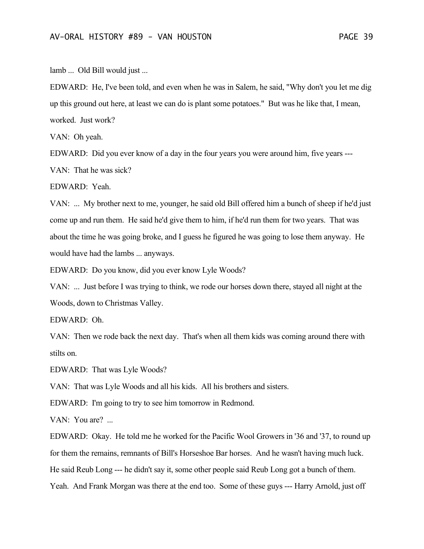lamb ... Old Bill would just ...

EDWARD: He, I've been told, and even when he was in Salem, he said, "Why don't you let me dig up this ground out here, at least we can do is plant some potatoes." But was he like that, I mean, worked. Just work?

VAN: Oh yeah.

EDWARD: Did you ever know of a day in the four years you were around him, five years --- VAN: That he was sick?

EDWARD: Yeah.

VAN: ... My brother next to me, younger, he said old Bill offered him a bunch of sheep if he'd just come up and run them. He said he'd give them to him, if he'd run them for two years. That was about the time he was going broke, and I guess he figured he was going to lose them anyway. He would have had the lambs ... anyways.

EDWARD: Do you know, did you ever know Lyle Woods?

VAN: ... Just before I was trying to think, we rode our horses down there, stayed all night at the Woods, down to Christmas Valley.

EDWARD: Oh.

VAN: Then we rode back the next day. That's when all them kids was coming around there with stilts on.

EDWARD: That was Lyle Woods?

VAN: That was Lyle Woods and all his kids. All his brothers and sisters.

EDWARD: I'm going to try to see him tomorrow in Redmond.

VAN: You are? ...

EDWARD: Okay. He told me he worked for the Pacific Wool Growers in '36 and '37, to round up for them the remains, remnants of Bill's Horseshoe Bar horses. And he wasn't having much luck. He said Reub Long --- he didn't say it, some other people said Reub Long got a bunch of them. Yeah. And Frank Morgan was there at the end too. Some of these guys --- Harry Arnold, just off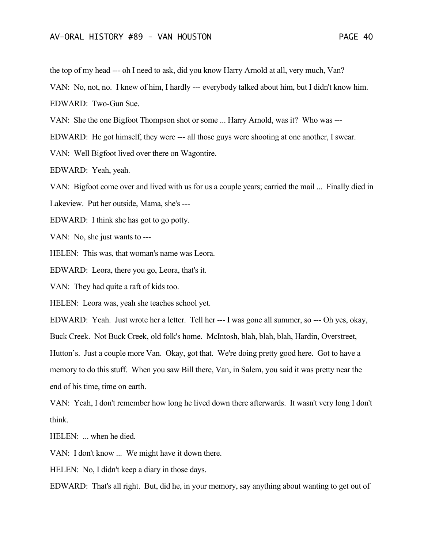the top of my head --- oh I need to ask, did you know Harry Arnold at all, very much, Van?

VAN: No, not, no. I knew of him, I hardly --- everybody talked about him, but I didn't know him.

EDWARD: Two-Gun Sue.

VAN: She the one Bigfoot Thompson shot or some ... Harry Arnold, was it? Who was ---

EDWARD: He got himself, they were --- all those guys were shooting at one another, I swear.

VAN: Well Bigfoot lived over there on Wagontire.

EDWARD: Yeah, yeah.

VAN: Bigfoot come over and lived with us for us a couple years; carried the mail ... Finally died in

Lakeview. Put her outside, Mama, she's ---

EDWARD: I think she has got to go potty.

VAN: No, she just wants to ---

HELEN: This was, that woman's name was Leora.

EDWARD: Leora, there you go, Leora, that's it.

VAN: They had quite a raft of kids too.

HELEN: Leora was, yeah she teaches school yet.

EDWARD: Yeah. Just wrote her a letter. Tell her --- I was gone all summer, so --- Oh yes, okay, Buck Creek. Not Buck Creek, old folk's home. McIntosh, blah, blah, blah, Hardin, Overstreet, Hutton's. Just a couple more Van. Okay, got that. We're doing pretty good here. Got to have a memory to do this stuff. When you saw Bill there, Van, in Salem, you said it was pretty near the end of his time, time on earth.

VAN: Yeah, I don't remember how long he lived down there afterwards. It wasn't very long I don't think.

HELEN: ... when he died.

VAN: I don't know ... We might have it down there.

HELEN: No, I didn't keep a diary in those days.

EDWARD: That's all right. But, did he, in your memory, say anything about wanting to get out of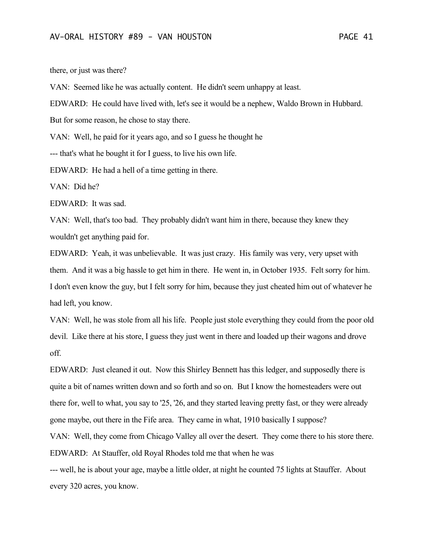there, or just was there?

VAN: Seemed like he was actually content. He didn't seem unhappy at least.

EDWARD: He could have lived with, let's see it would be a nephew, Waldo Brown in Hubbard.

But for some reason, he chose to stay there.

VAN: Well, he paid for it years ago, and so I guess he thought he

--- that's what he bought it for I guess, to live his own life.

EDWARD: He had a hell of a time getting in there.

VAN: Did he?

EDWARD: It was sad.

VAN: Well, that's too bad. They probably didn't want him in there, because they knew they wouldn't get anything paid for.

EDWARD: Yeah, it was unbelievable. It was just crazy. His family was very, very upset with them. And it was a big hassle to get him in there. He went in, in October 1935. Felt sorry for him. I don't even know the guy, but I felt sorry for him, because they just cheated him out of whatever he had left, you know.

VAN: Well, he was stole from all his life. People just stole everything they could from the poor old devil. Like there at his store, I guess they just went in there and loaded up their wagons and drove off.

EDWARD: Just cleaned it out. Now this Shirley Bennett has this ledger, and supposedly there is quite a bit of names written down and so forth and so on. But I know the homesteaders were out there for, well to what, you say to '25, '26, and they started leaving pretty fast, or they were already gone maybe, out there in the Fife area. They came in what, 1910 basically I suppose?

VAN: Well, they come from Chicago Valley all over the desert. They come there to his store there. EDWARD: At Stauffer, old Royal Rhodes told me that when he was

--- well, he is about your age, maybe a little older, at night he counted 75 lights at Stauffer. About every 320 acres, you know.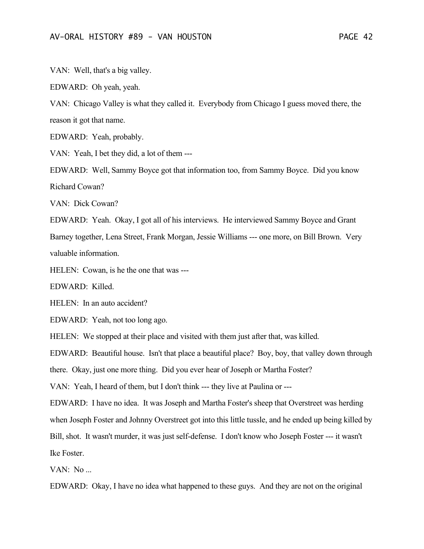VAN: Well, that's a big valley.

EDWARD: Oh yeah, yeah.

VAN: Chicago Valley is what they called it. Everybody from Chicago I guess moved there, the reason it got that name.

EDWARD: Yeah, probably.

VAN: Yeah, I bet they did, a lot of them ---

EDWARD: Well, Sammy Boyce got that information too, from Sammy Boyce. Did you know Richard Cowan?

VAN: Dick Cowan?

EDWARD: Yeah. Okay, I got all of his interviews. He interviewed Sammy Boyce and Grant Barney together, Lena Street, Frank Morgan, Jessie Williams --- one more, on Bill Brown. Very valuable information.

HELEN: Cowan, is he the one that was ---

EDWARD: Killed.

HELEN: In an auto accident?

EDWARD: Yeah, not too long ago.

HELEN: We stopped at their place and visited with them just after that, was killed.

EDWARD: Beautiful house. Isn't that place a beautiful place? Boy, boy, that valley down through

there. Okay, just one more thing. Did you ever hear of Joseph or Martha Foster?

VAN: Yeah, I heard of them, but I don't think --- they live at Paulina or ---

EDWARD: I have no idea. It was Joseph and Martha Foster's sheep that Overstreet was herding

when Joseph Foster and Johnny Overstreet got into this little tussle, and he ended up being killed by

Bill, shot. It wasn't murder, it was just self-defense. I don't know who Joseph Foster --- it wasn't Ike Foster.

VAN: No ...

EDWARD: Okay, I have no idea what happened to these guys. And they are not on the original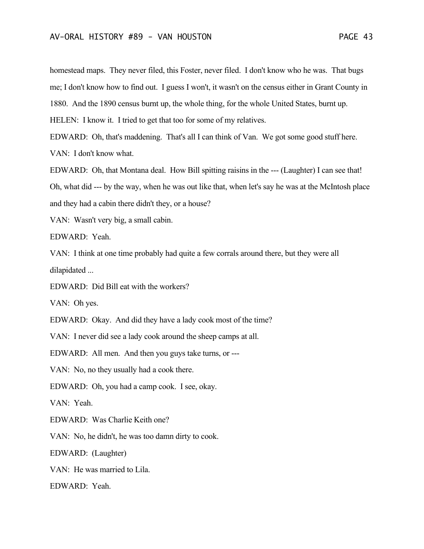homestead maps. They never filed, this Foster, never filed. I don't know who he was. That bugs me; I don't know how to find out. I guess I won't, it wasn't on the census either in Grant County in 1880. And the 1890 census burnt up, the whole thing, for the whole United States, burnt up.

HELEN: I know it. I tried to get that too for some of my relatives.

EDWARD: Oh, that's maddening. That's all I can think of Van. We got some good stuff here. VAN: I don't know what.

EDWARD: Oh, that Montana deal. How Bill spitting raisins in the --- (Laughter) I can see that! Oh, what did --- by the way, when he was out like that, when let's say he was at the McIntosh place and they had a cabin there didn't they, or a house?

VAN: Wasn't very big, a small cabin.

EDWARD: Yeah.

VAN: I think at one time probably had quite a few corrals around there, but they were all dilapidated ...

EDWARD: Did Bill eat with the workers?

VAN: Oh yes.

EDWARD: Okay. And did they have a lady cook most of the time?

VAN: I never did see a lady cook around the sheep camps at all.

EDWARD: All men. And then you guys take turns, or ---

VAN: No, no they usually had a cook there.

EDWARD: Oh, you had a camp cook. I see, okay.

VAN: Yeah.

EDWARD: Was Charlie Keith one?

VAN: No, he didn't, he was too damn dirty to cook.

EDWARD: (Laughter)

VAN: He was married to Lila.

EDWARD: Yeah.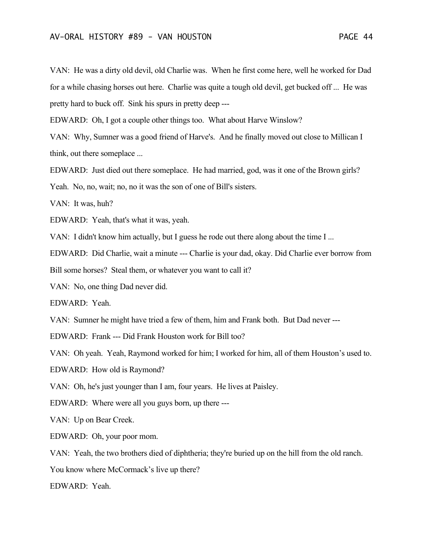VAN: He was a dirty old devil, old Charlie was. When he first come here, well he worked for Dad for a while chasing horses out here. Charlie was quite a tough old devil, get bucked off ... He was pretty hard to buck off. Sink his spurs in pretty deep ---

EDWARD: Oh, I got a couple other things too. What about Harve Winslow?

VAN: Why, Sumner was a good friend of Harve's. And he finally moved out close to Millican I think, out there someplace ...

EDWARD: Just died out there someplace. He had married, god, was it one of the Brown girls?

Yeah. No, no, wait; no, no it was the son of one of Bill's sisters.

VAN: It was, huh?

EDWARD: Yeah, that's what it was, yeah.

VAN: I didn't know him actually, but I guess he rode out there along about the time I ...

EDWARD: Did Charlie, wait a minute --- Charlie is your dad, okay. Did Charlie ever borrow from

Bill some horses? Steal them, or whatever you want to call it?

VAN: No, one thing Dad never did.

EDWARD: Yeah.

VAN: Sumner he might have tried a few of them, him and Frank both. But Dad never ---

EDWARD: Frank --- Did Frank Houston work for Bill too?

VAN: Oh yeah. Yeah, Raymond worked for him; I worked for him, all of them Houston's used to.

EDWARD: How old is Raymond?

VAN: Oh, he's just younger than I am, four years. He lives at Paisley.

EDWARD: Where were all you guys born, up there ---

VAN: Up on Bear Creek.

EDWARD: Oh, your poor mom.

VAN: Yeah, the two brothers died of diphtheria; they're buried up on the hill from the old ranch.

You know where McCormack's live up there?

EDWARD: Yeah.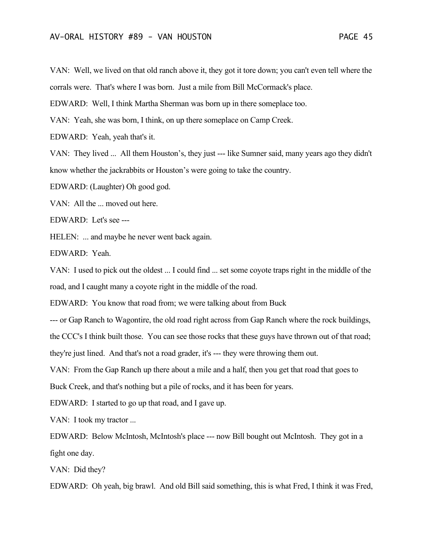VAN: Well, we lived on that old ranch above it, they got it tore down; you can't even tell where the corrals were. That's where I was born. Just a mile from Bill McCormack's place.

EDWARD: Well, I think Martha Sherman was born up in there someplace too.

VAN: Yeah, she was born, I think, on up there someplace on Camp Creek.

EDWARD: Yeah, yeah that's it.

VAN: They lived ... All them Houston's, they just --- like Sumner said, many years ago they didn't know whether the jackrabbits or Houston's were going to take the country.

EDWARD: (Laughter) Oh good god.

VAN: All the ... moved out here.

EDWARD: Let's see ---

HELEN: ... and maybe he never went back again.

EDWARD: Yeah.

VAN: I used to pick out the oldest ... I could find ... set some coyote traps right in the middle of the road, and I caught many a coyote right in the middle of the road.

EDWARD: You know that road from; we were talking about from Buck

--- or Gap Ranch to Wagontire, the old road right across from Gap Ranch where the rock buildings,

the CCC's I think built those. You can see those rocks that these guys have thrown out of that road;

they're just lined. And that's not a road grader, it's --- they were throwing them out.

VAN: From the Gap Ranch up there about a mile and a half, then you get that road that goes to

Buck Creek, and that's nothing but a pile of rocks, and it has been for years.

EDWARD: I started to go up that road, and I gave up.

VAN: I took my tractor ...

EDWARD: Below McIntosh, McIntosh's place --- now Bill bought out McIntosh. They got in a fight one day.

VAN: Did they?

EDWARD: Oh yeah, big brawl. And old Bill said something, this is what Fred, I think it was Fred,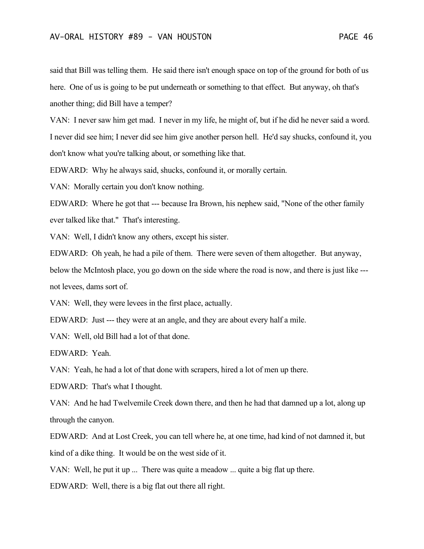said that Bill was telling them. He said there isn't enough space on top of the ground for both of us here. One of us is going to be put underneath or something to that effect. But anyway, oh that's another thing; did Bill have a temper?

VAN: I never saw him get mad. I never in my life, he might of, but if he did he never said a word. I never did see him; I never did see him give another person hell. He'd say shucks, confound it, you don't know what you're talking about, or something like that.

EDWARD: Why he always said, shucks, confound it, or morally certain.

VAN: Morally certain you don't know nothing.

EDWARD: Where he got that --- because Ira Brown, his nephew said, "None of the other family ever talked like that." That's interesting.

VAN: Well, I didn't know any others, except his sister.

EDWARD: Oh yeah, he had a pile of them. There were seven of them altogether. But anyway, below the McIntosh place, you go down on the side where the road is now, and there is just like -- not levees, dams sort of.

VAN: Well, they were levees in the first place, actually.

EDWARD: Just --- they were at an angle, and they are about every half a mile.

VAN: Well, old Bill had a lot of that done.

EDWARD: Yeah.

VAN: Yeah, he had a lot of that done with scrapers, hired a lot of men up there.

EDWARD: That's what I thought.

VAN: And he had Twelvemile Creek down there, and then he had that damned up a lot, along up through the canyon.

EDWARD: And at Lost Creek, you can tell where he, at one time, had kind of not damned it, but kind of a dike thing. It would be on the west side of it.

VAN: Well, he put it up ... There was quite a meadow ... quite a big flat up there.

EDWARD: Well, there is a big flat out there all right.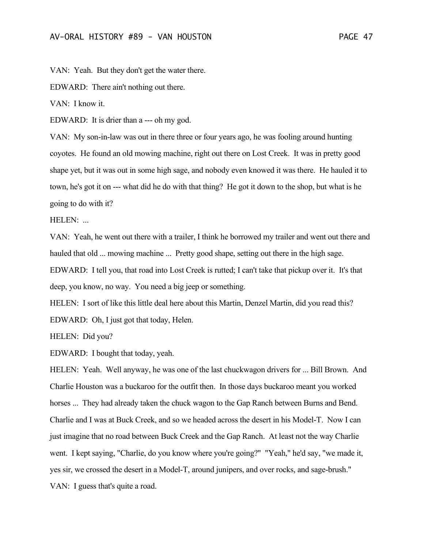VAN: Yeah. But they don't get the water there.

EDWARD: There ain't nothing out there.

VAN: I know it.

EDWARD: It is drier than a --- oh my god.

VAN: My son-in-law was out in there three or four years ago, he was fooling around hunting coyotes. He found an old mowing machine, right out there on Lost Creek. It was in pretty good shape yet, but it was out in some high sage, and nobody even knowed it was there. He hauled it to town, he's got it on --- what did he do with that thing? He got it down to the shop, but what is he going to do with it?

HELEN:

VAN: Yeah, he went out there with a trailer, I think he borrowed my trailer and went out there and hauled that old ... mowing machine ... Pretty good shape, setting out there in the high sage. EDWARD: I tell you, that road into Lost Creek is rutted; I can't take that pickup over it. It's that deep, you know, no way. You need a big jeep or something.

HELEN: I sort of like this little deal here about this Martin, Denzel Martin, did you read this? EDWARD: Oh, I just got that today, Helen.

HELEN: Did you?

EDWARD: I bought that today, yeah.

HELEN: Yeah. Well anyway, he was one of the last chuckwagon drivers for ... Bill Brown. And Charlie Houston was a buckaroo for the outfit then. In those days buckaroo meant you worked horses ... They had already taken the chuck wagon to the Gap Ranch between Burns and Bend. Charlie and I was at Buck Creek, and so we headed across the desert in his Model-T. Now I can just imagine that no road between Buck Creek and the Gap Ranch. At least not the way Charlie went. I kept saying, "Charlie, do you know where you're going?" "Yeah," he'd say, "we made it, yes sir, we crossed the desert in a Model-T, around junipers, and over rocks, and sage-brush." VAN: I guess that's quite a road.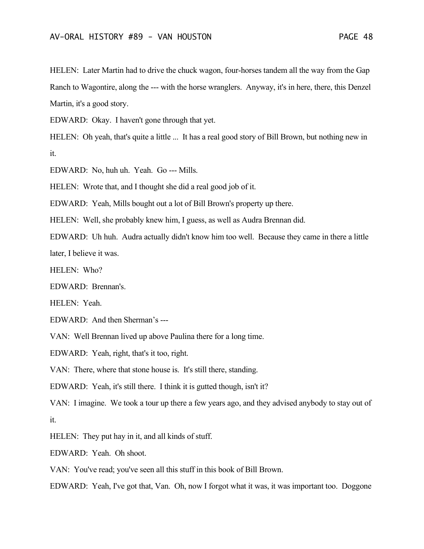HELEN: Later Martin had to drive the chuck wagon, four-horses tandem all the way from the Gap Ranch to Wagontire, along the --- with the horse wranglers. Anyway, it's in here, there, this Denzel Martin, it's a good story.

EDWARD: Okay. I haven't gone through that yet.

HELEN: Oh yeah, that's quite a little ... It has a real good story of Bill Brown, but nothing new in it.

EDWARD: No, huh uh. Yeah. Go --- Mills.

HELEN: Wrote that, and I thought she did a real good job of it.

EDWARD: Yeah, Mills bought out a lot of Bill Brown's property up there.

HELEN: Well, she probably knew him, I guess, as well as Audra Brennan did.

EDWARD: Uh huh. Audra actually didn't know him too well. Because they came in there a little later, I believe it was.

HELEN: Who?

EDWARD: Brennan's.

HELEN: Yeah.

EDWARD: And then Sherman's ---

VAN: Well Brennan lived up above Paulina there for a long time.

EDWARD: Yeah, right, that's it too, right.

VAN: There, where that stone house is. It's still there, standing.

EDWARD: Yeah, it's still there. I think it is gutted though, isn't it?

VAN: I imagine. We took a tour up there a few years ago, and they advised anybody to stay out of it.

HELEN: They put hay in it, and all kinds of stuff.

EDWARD: Yeah. Oh shoot.

VAN: You've read; you've seen all this stuff in this book of Bill Brown.

EDWARD: Yeah, I've got that, Van. Oh, now I forgot what it was, it was important too. Doggone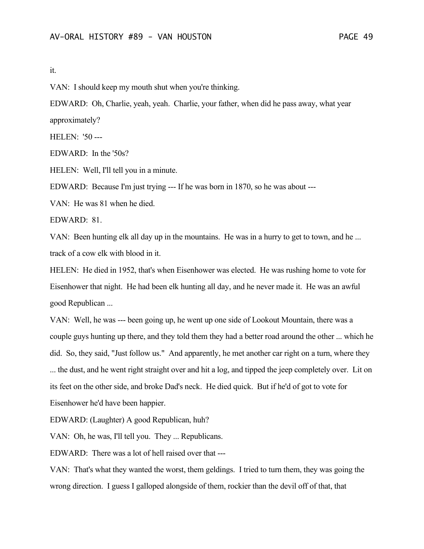### it.

VAN: I should keep my mouth shut when you're thinking.

EDWARD: Oh, Charlie, yeah, yeah. Charlie, your father, when did he pass away, what year approximately?

HELEN: '50 ---

EDWARD: In the '50s?

HELEN: Well, I'll tell you in a minute.

EDWARD: Because I'm just trying --- If he was born in 1870, so he was about ---

VAN: He was 81 when he died.

EDWARD: 81.

VAN: Been hunting elk all day up in the mountains. He was in a hurry to get to town, and he ... track of a cow elk with blood in it.

HELEN: He died in 1952, that's when Eisenhower was elected. He was rushing home to vote for Eisenhower that night. He had been elk hunting all day, and he never made it. He was an awful good Republican ...

VAN: Well, he was --- been going up, he went up one side of Lookout Mountain, there was a couple guys hunting up there, and they told them they had a better road around the other ... which he did. So, they said, "Just follow us." And apparently, he met another car right on a turn, where they ... the dust, and he went right straight over and hit a log, and tipped the jeep completely over. Lit on its feet on the other side, and broke Dad's neck. He died quick. But if he'd of got to vote for Eisenhower he'd have been happier.

EDWARD: (Laughter) A good Republican, huh?

VAN: Oh, he was, I'll tell you. They ... Republicans.

EDWARD: There was a lot of hell raised over that ---

VAN: That's what they wanted the worst, them geldings. I tried to turn them, they was going the wrong direction. I guess I galloped alongside of them, rockier than the devil off of that, that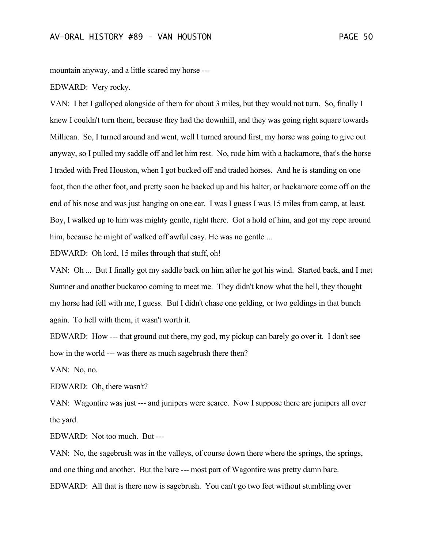mountain anyway, and a little scared my horse ---

#### EDWARD: Very rocky.

VAN: I bet I galloped alongside of them for about 3 miles, but they would not turn. So, finally I knew I couldn't turn them, because they had the downhill, and they was going right square towards Millican. So, I turned around and went, well I turned around first, my horse was going to give out anyway, so I pulled my saddle off and let him rest. No, rode him with a hackamore, that's the horse I traded with Fred Houston, when I got bucked off and traded horses. And he is standing on one foot, then the other foot, and pretty soon he backed up and his halter, or hackamore come off on the end of his nose and was just hanging on one ear. I was I guess I was 15 miles from camp, at least. Boy, I walked up to him was mighty gentle, right there. Got a hold of him, and got my rope around him, because he might of walked off awful easy. He was no gentle ...

EDWARD: Oh lord, 15 miles through that stuff, oh!

VAN: Oh ... But I finally got my saddle back on him after he got his wind. Started back, and I met Sumner and another buckaroo coming to meet me. They didn't know what the hell, they thought my horse had fell with me, I guess. But I didn't chase one gelding, or two geldings in that bunch again. To hell with them, it wasn't worth it.

EDWARD: How --- that ground out there, my god, my pickup can barely go over it. I don't see how in the world --- was there as much sagebrush there then?

VAN: No, no.

EDWARD: Oh, there wasn't?

VAN: Wagontire was just --- and junipers were scarce. Now I suppose there are junipers all over the yard.

EDWARD: Not too much. But ---

VAN: No, the sagebrush was in the valleys, of course down there where the springs, the springs, and one thing and another. But the bare --- most part of Wagontire was pretty damn bare. EDWARD: All that is there now is sagebrush. You can't go two feet without stumbling over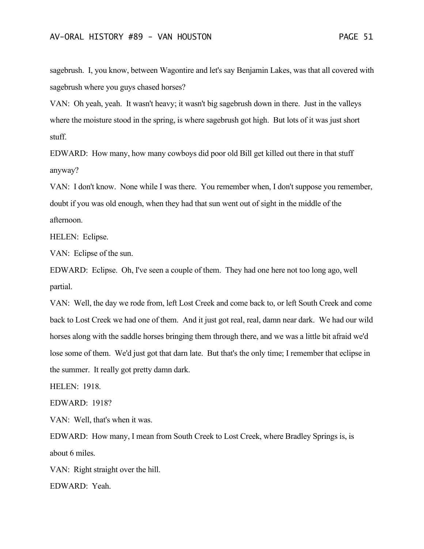sagebrush. I, you know, between Wagontire and let's say Benjamin Lakes, was that all covered with sagebrush where you guys chased horses?

VAN: Oh yeah, yeah. It wasn't heavy; it wasn't big sagebrush down in there. Just in the valleys where the moisture stood in the spring, is where sagebrush got high. But lots of it was just short stuff.

EDWARD: How many, how many cowboys did poor old Bill get killed out there in that stuff anyway?

VAN: I don't know. None while I was there. You remember when, I don't suppose you remember, doubt if you was old enough, when they had that sun went out of sight in the middle of the afternoon.

HELEN: Eclipse.

VAN: Eclipse of the sun.

EDWARD: Eclipse. Oh, I've seen a couple of them. They had one here not too long ago, well partial.

VAN: Well, the day we rode from, left Lost Creek and come back to, or left South Creek and come back to Lost Creek we had one of them. And it just got real, real, damn near dark. We had our wild horses along with the saddle horses bringing them through there, and we was a little bit afraid we'd lose some of them. We'd just got that darn late. But that's the only time; I remember that eclipse in the summer. It really got pretty damn dark.

HELEN: 1918.

EDWARD: 1918?

VAN: Well, that's when it was.

EDWARD: How many, I mean from South Creek to Lost Creek, where Bradley Springs is, is about 6 miles.

VAN: Right straight over the hill.

EDWARD: Yeah.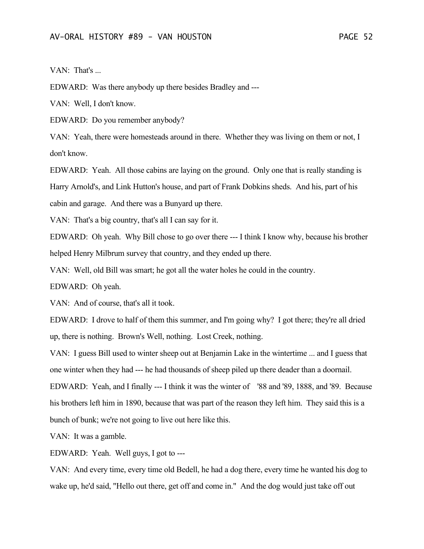VAN: That's ...

EDWARD: Was there anybody up there besides Bradley and ---

VAN: Well, I don't know.

EDWARD: Do you remember anybody?

VAN: Yeah, there were homesteads around in there. Whether they was living on them or not, I don't know.

EDWARD: Yeah. All those cabins are laying on the ground. Only one that is really standing is Harry Arnold's, and Link Hutton's house, and part of Frank Dobkins sheds. And his, part of his cabin and garage. And there was a Bunyard up there.

VAN: That's a big country, that's all I can say for it.

EDWARD: Oh yeah. Why Bill chose to go over there --- I think I know why, because his brother helped Henry Milbrum survey that country, and they ended up there.

VAN: Well, old Bill was smart; he got all the water holes he could in the country.

EDWARD: Oh yeah.

VAN: And of course, that's all it took.

EDWARD: I drove to half of them this summer, and I'm going why? I got there; they're all dried up, there is nothing. Brown's Well, nothing. Lost Creek, nothing.

VAN: I guess Bill used to winter sheep out at Benjamin Lake in the wintertime ... and I guess that one winter when they had --- he had thousands of sheep piled up there deader than a doornail.

EDWARD: Yeah, and I finally --- I think it was the winter of '88 and '89, 1888, and '89. Because his brothers left him in 1890, because that was part of the reason they left him. They said this is a bunch of bunk; we're not going to live out here like this.

VAN: It was a gamble.

EDWARD: Yeah. Well guys, I got to ---

VAN: And every time, every time old Bedell, he had a dog there, every time he wanted his dog to wake up, he'd said, "Hello out there, get off and come in." And the dog would just take off out